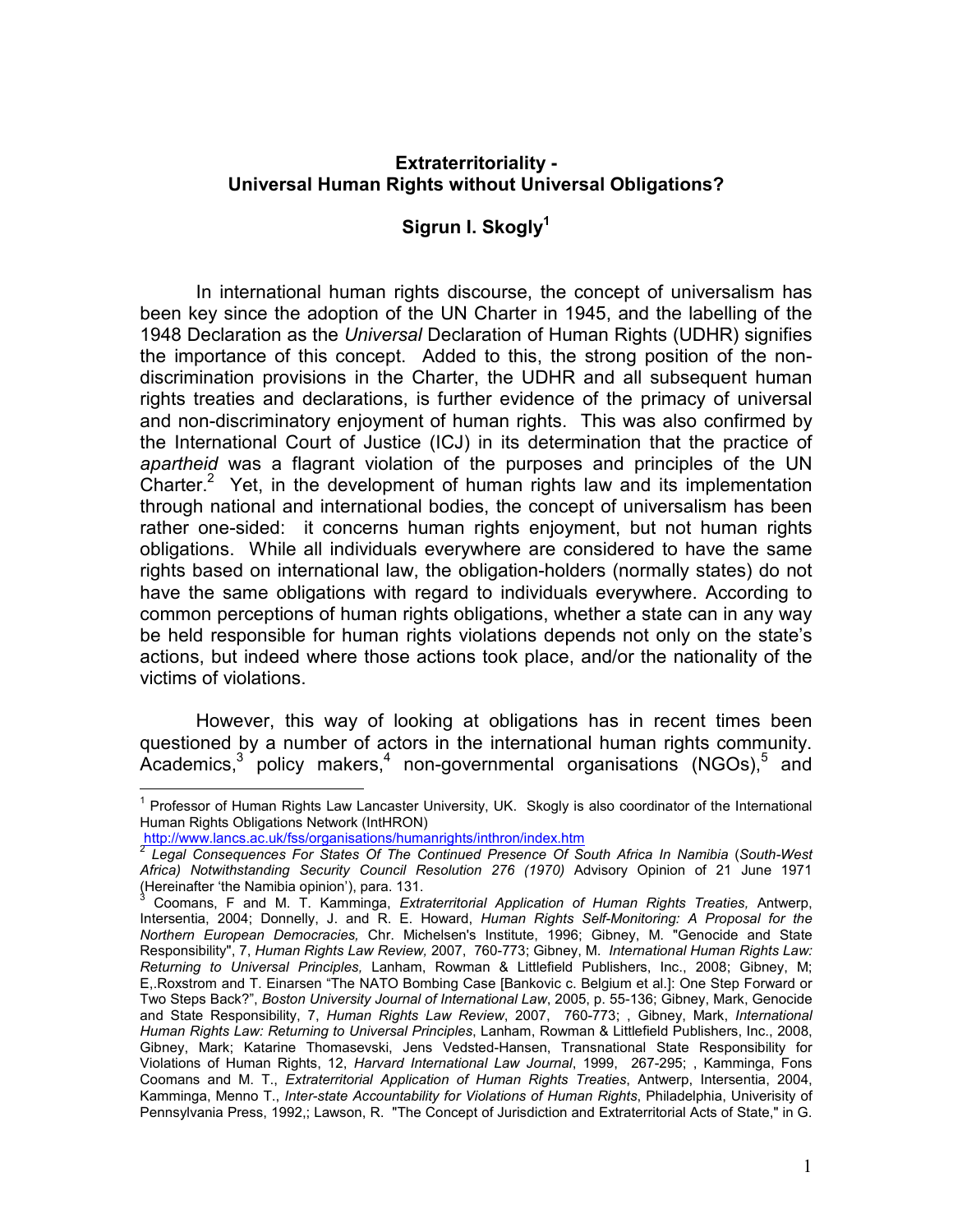## Extraterritoriality - Universal Human Rights without Universal Obligations?

# Sigrun I. Skogly<sup>1</sup>

In international human rights discourse, the concept of universalism has been key since the adoption of the UN Charter in 1945, and the labelling of the 1948 Declaration as the Universal Declaration of Human Rights (UDHR) signifies the importance of this concept. Added to this, the strong position of the nondiscrimination provisions in the Charter, the UDHR and all subsequent human rights treaties and declarations, is further evidence of the primacy of universal and non-discriminatory enjoyment of human rights. This was also confirmed by the International Court of Justice (ICJ) in its determination that the practice of apartheid was a flagrant violation of the purposes and principles of the UN Charter.<sup>2</sup> Yet, in the development of human rights law and its implementation through national and international bodies, the concept of universalism has been rather one-sided: it concerns human rights enjoyment, but not human rights obligations. While all individuals everywhere are considered to have the same rights based on international law, the obligation-holders (normally states) do not have the same obligations with regard to individuals everywhere. According to common perceptions of human rights obligations, whether a state can in any way be held responsible for human rights violations depends not only on the state's actions, but indeed where those actions took place, and/or the nationality of the victims of violations.

However, this way of looking at obligations has in recent times been questioned by a number of actors in the international human rights community. Academics, $3$  policy makers,<sup>4</sup> non-governmental organisations (NGOs),<sup>5</sup> and

<sup>&</sup>lt;u>ness</u><br><sup>1</sup> Professor of Human Rights Law Lancaster University, UK. Skogly is also coordinator of the International Human Rights Obligations Network (IntHRON)

http://www.lancs.ac.uk/fss/organisations/humanrights/inthron/index.htm 2 Legal Consequences For States Of The Continued Presence Of South Africa In Namibia (South-West Africa) Notwithstanding Security Council Resolution 276 (1970) Advisory Opinion of 21 June 1971 (Hereinafter 'the Namibia opinion'), para. 131. 3

Coomans, F and M. T. Kamminga, Extraterritorial Application of Human Rights Treaties, Antwerp, Intersentia, 2004; Donnelly, J. and R. E. Howard, Human Rights Self-Monitoring: A Proposal for the Northern European Democracies, Chr. Michelsen's Institute, 1996; Gibney, M. "Genocide and State Responsibility", 7, Human Rights Law Review, 2007, 760-773; Gibney, M. International Human Rights Law: Returning to Universal Principles, Lanham, Rowman & Littlefield Publishers, Inc., 2008; Gibney, M; E,.Roxstrom and T. Einarsen "The NATO Bombing Case [Bankovic c. Belgium et al.]: One Step Forward or Two Steps Back?", Boston University Journal of International Law, 2005, p. 55-136; Gibney, Mark, Genocide and State Responsibility, 7, Human Rights Law Review, 2007, 760-773; , Gibney, Mark, International Human Rights Law: Returning to Universal Principles, Lanham, Rowman & Littlefield Publishers, Inc., 2008, Gibney, Mark; Katarine Thomasevski, Jens Vedsted-Hansen, Transnational State Responsibility for Violations of Human Rights, 12, Harvard International Law Journal, 1999, 267-295; , Kamminga, Fons Coomans and M. T., Extraterritorial Application of Human Rights Treaties, Antwerp, Intersentia, 2004, Kamminga, Menno T., Inter-state Accountability for Violations of Human Rights, Philadelphia, Univerisity of Pennsylvania Press, 1992,; Lawson, R. "The Concept of Jurisdiction and Extraterritorial Acts of State," in G.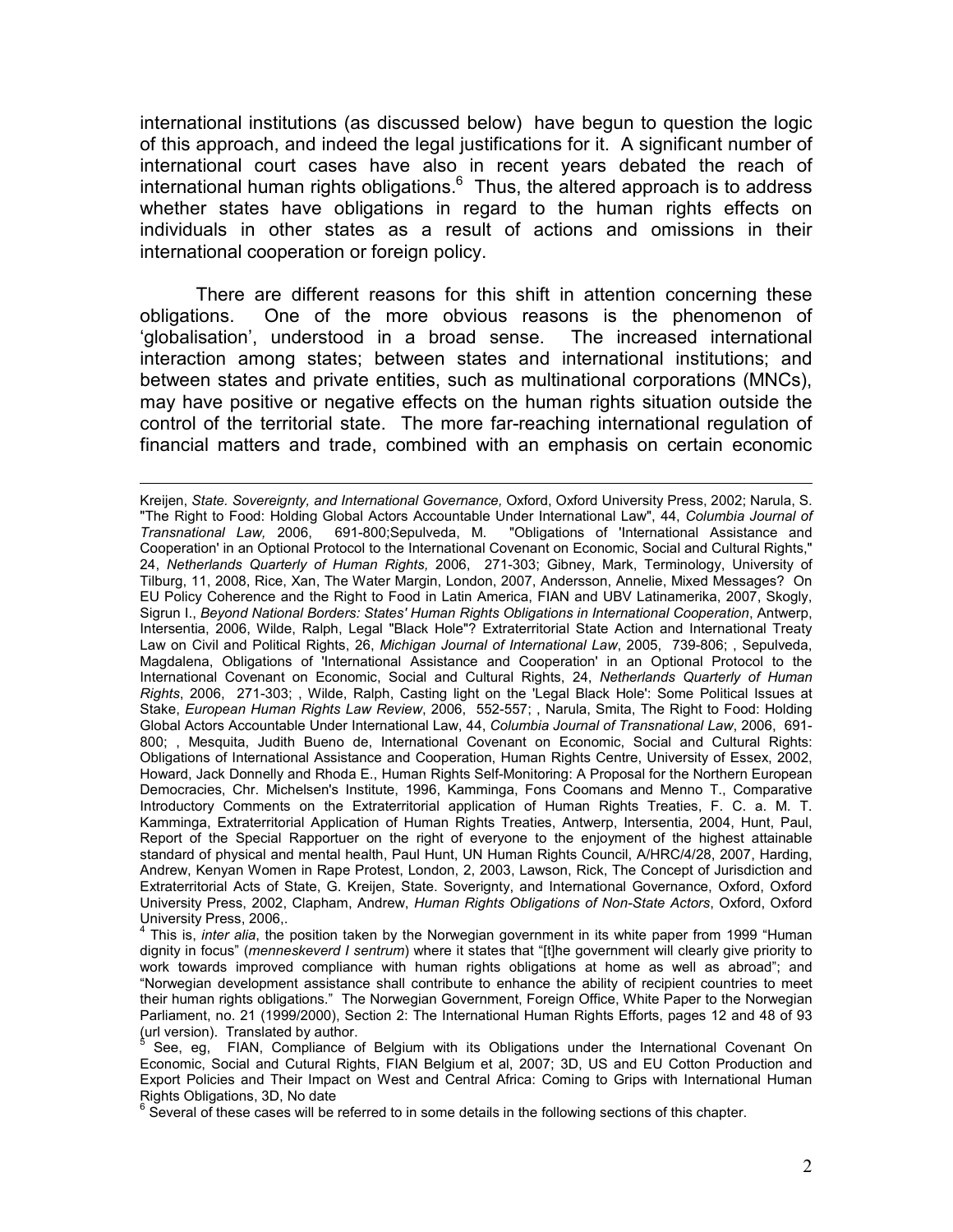international institutions (as discussed below) have begun to question the logic of this approach, and indeed the legal justifications for it. A significant number of international court cases have also in recent years debated the reach of international human rights obligations. $^6$  Thus, the altered approach is to address whether states have obligations in regard to the human rights effects on individuals in other states as a result of actions and omissions in their international cooperation or foreign policy.

There are different reasons for this shift in attention concerning these obligations. One of the more obvious reasons is the phenomenon of 'globalisation', understood in a broad sense. The increased international interaction among states; between states and international institutions; and between states and private entities, such as multinational corporations (MNCs), may have positive or negative effects on the human rights situation outside the control of the territorial state. The more far-reaching international regulation of financial matters and trade, combined with an emphasis on certain economic

 $\overline{a}$ Kreijen, State. Sovereignty, and International Governance, Oxford, Oxford University Press, 2002; Narula, S. "The Right to Food: Holding Global Actors Accountable Under International Law", 44, Columbia Journal of<br>Transnational Law, 2006, 691-800;Sepulveda, M. "Obligations of 'International Assistance and Transnational Law, 2006, 691-800;Sepulveda, M. Cooperation' in an Optional Protocol to the International Covenant on Economic, Social and Cultural Rights," 24, Netherlands Quarterly of Human Rights, 2006, 271-303; Gibney, Mark, Terminology, University of Tilburg, 11, 2008, Rice, Xan, The Water Margin, London, 2007, Andersson, Annelie, Mixed Messages? On EU Policy Coherence and the Right to Food in Latin America, FIAN and UBV Latinamerika, 2007, Skogly, Sigrun I., Beyond National Borders: States' Human Rights Obligations in International Cooperation, Antwerp, Intersentia, 2006, Wilde, Ralph, Legal "Black Hole"? Extraterritorial State Action and International Treaty Law on Civil and Political Rights, 26, Michigan Journal of International Law, 2005, 739-806; , Sepulveda, Magdalena, Obligations of 'International Assistance and Cooperation' in an Optional Protocol to the International Covenant on Economic, Social and Cultural Rights, 24, Netherlands Quarterly of Human Rights, 2006, 271-303; , Wilde, Ralph, Casting light on the 'Legal Black Hole': Some Political Issues at Stake, European Human Rights Law Review, 2006, 552-557; , Narula, Smita, The Right to Food: Holding Global Actors Accountable Under International Law, 44, Columbia Journal of Transnational Law, 2006, 691- 800; , Mesquita, Judith Bueno de, International Covenant on Economic, Social and Cultural Rights: Obligations of International Assistance and Cooperation, Human Rights Centre, University of Essex, 2002, Howard, Jack Donnelly and Rhoda E., Human Rights Self-Monitoring: A Proposal for the Northern European Democracies, Chr. Michelsen's Institute, 1996, Kamminga, Fons Coomans and Menno T., Comparative Introductory Comments on the Extraterritorial application of Human Rights Treaties, F. C. a. M. T. Kamminga, Extraterritorial Application of Human Rights Treaties, Antwerp, Intersentia, 2004, Hunt, Paul, Report of the Special Rapportuer on the right of everyone to the enjoyment of the highest attainable standard of physical and mental health, Paul Hunt, UN Human Rights Council, A/HRC/4/28, 2007, Harding, Andrew, Kenyan Women in Rape Protest, London, 2, 2003, Lawson, Rick, The Concept of Jurisdiction and Extraterritorial Acts of State, G. Kreijen, State. Soverignty, and International Governance, Oxford, Oxford University Press, 2002, Clapham, Andrew, Human Rights Obligations of Non-State Actors, Oxford, Oxford University Press, 2006,.<br><sup>4</sup> This is *inter alig*, the t

This is, inter alia, the position taken by the Norwegian government in its white paper from 1999 "Human dignity in focus" (menneskeverd I sentrum) where it states that "[t]he government will clearly give priority to work towards improved compliance with human rights obligations at home as well as abroad"; and "Norwegian development assistance shall contribute to enhance the ability of recipient countries to meet their human rights obligations." The Norwegian Government, Foreign Office, White Paper to the Norwegian Parliament, no. 21 (1999/2000), Section 2: The International Human Rights Efforts, pages 12 and 48 of 93 (url version). Translated by author. 5

See, eg. FIAN, Compliance of Belgium with its Obligations under the International Covenant On Economic, Social and Cutural Rights, FIAN Belgium et al, 2007; 3D, US and EU Cotton Production and Export Policies and Their Impact on West and Central Africa: Coming to Grips with International Human Rights Obligations, 3D, No date<br><sup>6</sup> Soveral of these asses will be a

Several of these cases will be referred to in some details in the following sections of this chapter.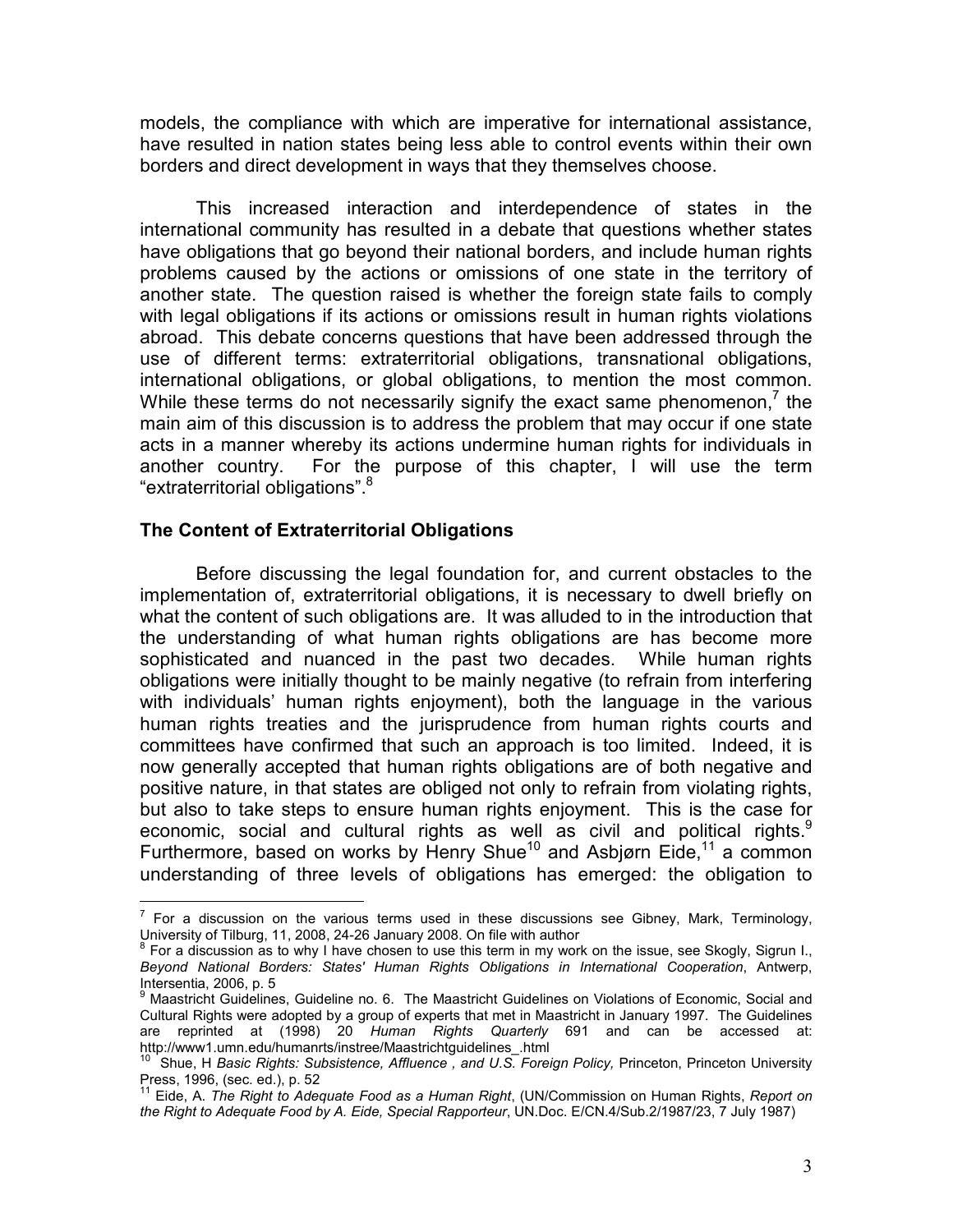models, the compliance with which are imperative for international assistance, have resulted in nation states being less able to control events within their own borders and direct development in ways that they themselves choose.

This increased interaction and interdependence of states in the international community has resulted in a debate that questions whether states have obligations that go beyond their national borders, and include human rights problems caused by the actions or omissions of one state in the territory of another state. The question raised is whether the foreign state fails to comply with legal obligations if its actions or omissions result in human rights violations abroad. This debate concerns questions that have been addressed through the use of different terms: extraterritorial obligations, transnational obligations, international obligations, or global obligations, to mention the most common. While these terms do not necessarily signify the exact same phenomenon, $<sup>7</sup>$  the</sup> main aim of this discussion is to address the problem that may occur if one state acts in a manner whereby its actions undermine human rights for individuals in another country. For the purpose of this chapter, I will use the term "extraterritorial obligations".<sup>8</sup>

### The Content of Extraterritorial Obligations

 $\overline{a}$ 

Before discussing the legal foundation for, and current obstacles to the implementation of, extraterritorial obligations, it is necessary to dwell briefly on what the content of such obligations are. It was alluded to in the introduction that the understanding of what human rights obligations are has become more sophisticated and nuanced in the past two decades. While human rights obligations were initially thought to be mainly negative (to refrain from interfering with individuals' human rights enjoyment), both the language in the various human rights treaties and the jurisprudence from human rights courts and committees have confirmed that such an approach is too limited. Indeed, it is now generally accepted that human rights obligations are of both negative and positive nature, in that states are obliged not only to refrain from violating rights, but also to take steps to ensure human rights enjoyment. This is the case for economic, social and cultural rights as well as civil and political rights.<sup>9</sup> Furthermore, based on works by Henry Shue<sup>10</sup> and Asbiørn Eide,<sup>11</sup> a common understanding of three levels of obligations has emerged: the obligation to

 $<sup>7</sup>$  For a discussion on the various terms used in these discussions see Gibney, Mark, Terminology,</sup> University of Tilburg, 11, 2008, 24-26 January 2008. On file with author University of Tilburg and the University of the Second Burghests.

For a discussion as to why I have chosen to use this term in my work on the issue, see Skogly, Sigrun I., Beyond National Borders: States' Human Rights Obligations in International Cooperation, Antwerp, Intersentia, 2006, p. 5

<sup>&</sup>lt;sup>9</sup> Maastricht Guidelines, Guideline no. 6. The Maastricht Guidelines on Violations of Economic, Social and Cultural Rights were adopted by a group of experts that met in Maastricht in January 1997. The Guidelines are reprinted at (1998) 20 Human Rights Quarterly 691 and can be accessed at: http://www1.umn.edu/humanrts/instree/Maastrichtguidelines\_.html

<sup>10</sup> Shue, H Basic Rights: Subsistence, Affluence, and U.S. Foreign Policy, Princeton, Princeton University Press, 1996, (sec. ed.), p. 52

Eide, A. The Right to Adequate Food as a Human Right, (UN/Commission on Human Rights, Report on the Right to Adequate Food by A. Eide, Special Rapporteur, UN.Doc. E/CN.4/Sub.2/1987/23, 7 July 1987)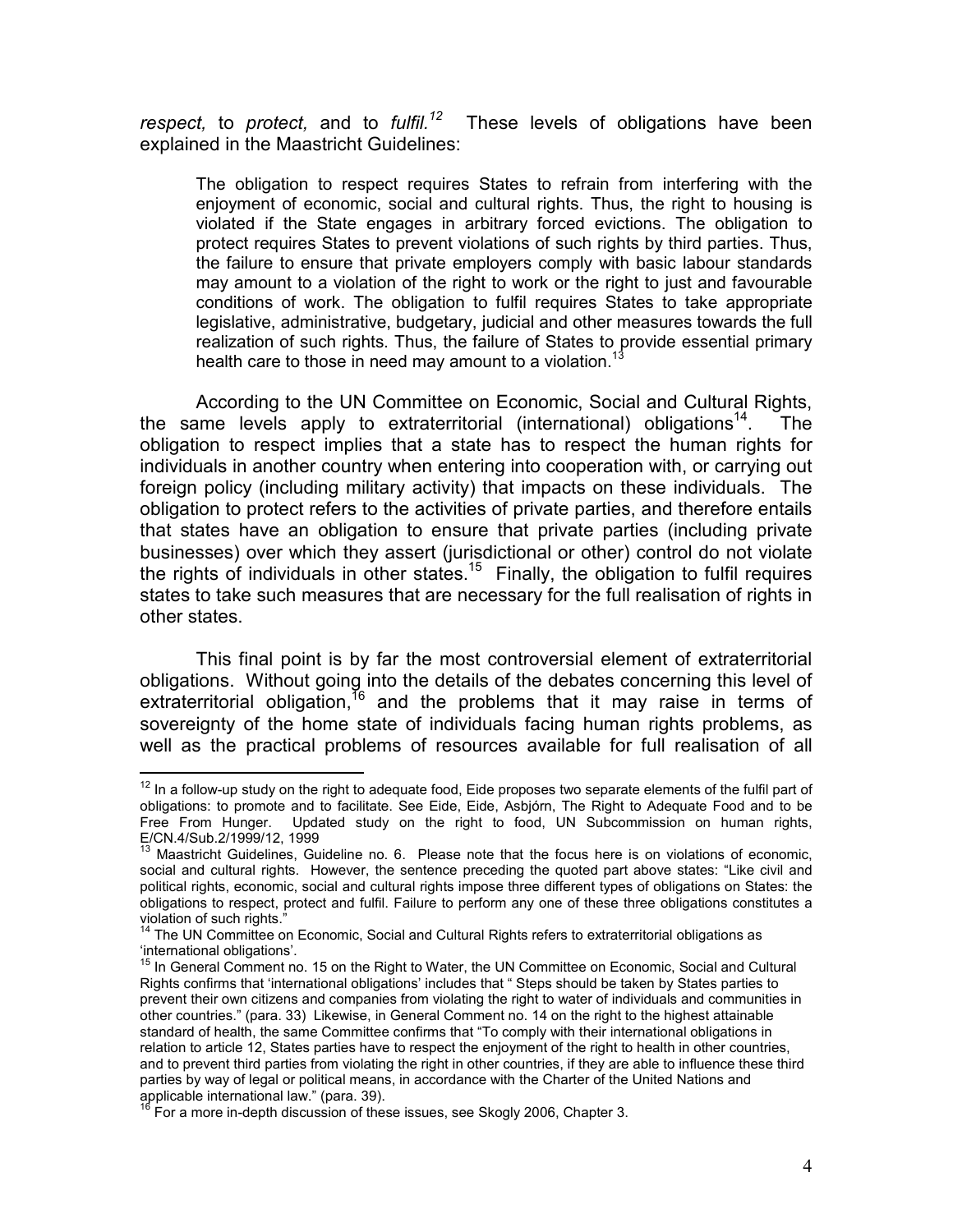respect, to protect, and to fulfil.<sup>12</sup> These levels of obligations have been explained in the Maastricht Guidelines:

The obligation to respect requires States to refrain from interfering with the enjoyment of economic, social and cultural rights. Thus, the right to housing is violated if the State engages in arbitrary forced evictions. The obligation to protect requires States to prevent violations of such rights by third parties. Thus, the failure to ensure that private employers comply with basic labour standards may amount to a violation of the right to work or the right to just and favourable conditions of work. The obligation to fulfil requires States to take appropriate legislative, administrative, budgetary, judicial and other measures towards the full realization of such rights. Thus, the failure of States to provide essential primary health care to those in need may amount to a violation.<sup>1</sup>

According to the UN Committee on Economic, Social and Cultural Rights, the same levels apply to extraterritorial (international) obligations<sup>14</sup>. The obligation to respect implies that a state has to respect the human rights for individuals in another country when entering into cooperation with, or carrying out foreign policy (including military activity) that impacts on these individuals. The obligation to protect refers to the activities of private parties, and therefore entails that states have an obligation to ensure that private parties (including private businesses) over which they assert (jurisdictional or other) control do not violate the rights of individuals in other states.<sup>15</sup> Finally, the obligation to fulfil requires states to take such measures that are necessary for the full realisation of rights in other states.

This final point is by far the most controversial element of extraterritorial obligations. Without going into the details of the debates concerning this level of extraterritorial obligation,<sup>16</sup> and the problems that it may raise in terms of sovereignty of the home state of individuals facing human rights problems, as well as the practical problems of resources available for full realisation of all

 $\overline{\phantom{a}}$  $12$  In a follow-up study on the right to adequate food, Eide proposes two separate elements of the fulfil part of obligations: to promote and to facilitate. See Eide, Eide, Asbjórn, The Right to Adequate Food and to be Free From Hunger. Updated study on the right to food, UN Subcommission on human rights, E/CN.4/Sub.2/1999/12, 1999

Maastricht Guidelines, Guideline no. 6. Please note that the focus here is on violations of economic, social and cultural rights. However, the sentence preceding the quoted part above states: "Like civil and political rights, economic, social and cultural rights impose three different types of obligations on States: the obligations to respect, protect and fulfil. Failure to perform any one of these three obligations constitutes a violation of such rights."

<sup>&</sup>lt;sup>14</sup> The UN Committee on Economic, Social and Cultural Rights refers to extraterritorial obligations as 'international obligations'.

<sup>&</sup>lt;sup>15</sup> In General Comment no. 15 on the Right to Water, the UN Committee on Economic, Social and Cultural Rights confirms that 'international obligations' includes that " Steps should be taken by States parties to prevent their own citizens and companies from violating the right to water of individuals and communities in other countries." (para. 33) Likewise, in General Comment no. 14 on the right to the highest attainable standard of health, the same Committee confirms that "To comply with their international obligations in relation to article 12, States parties have to respect the enjoyment of the right to health in other countries, and to prevent third parties from violating the right in other countries, if they are able to influence these third parties by way of legal or political means, in accordance with the Charter of the United Nations and applicable international law." (para. 39).

<sup>16</sup> For a more in-depth discussion of these issues, see Skogly 2006, Chapter 3.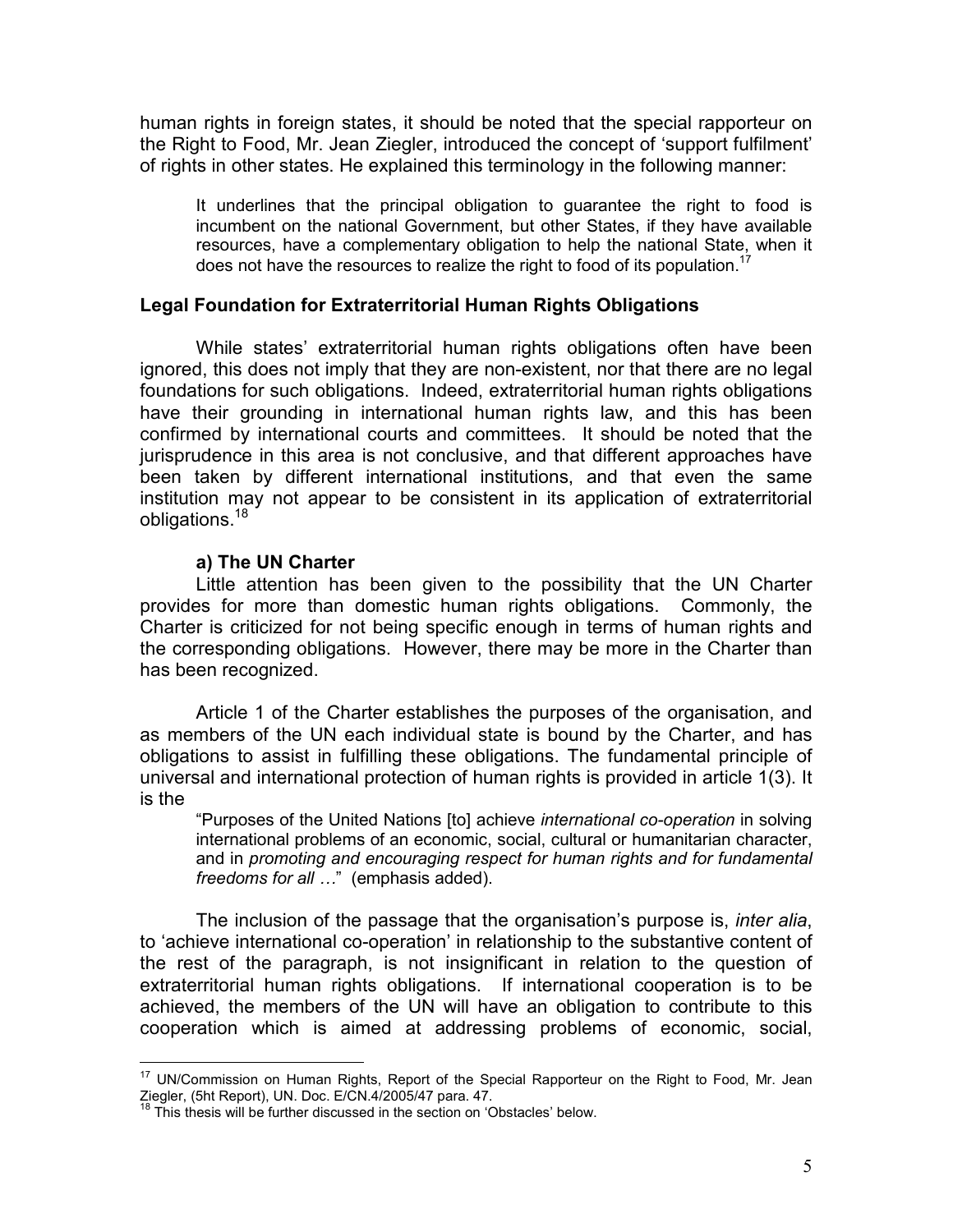human rights in foreign states, it should be noted that the special rapporteur on the Right to Food, Mr. Jean Ziegler, introduced the concept of 'support fulfilment' of rights in other states. He explained this terminology in the following manner:

It underlines that the principal obligation to guarantee the right to food is incumbent on the national Government, but other States, if they have available resources, have a complementary obligation to help the national State, when it does not have the resources to realize the right to food of its population.<sup>17</sup>

#### Legal Foundation for Extraterritorial Human Rights Obligations

While states' extraterritorial human rights obligations often have been ignored, this does not imply that they are non-existent, nor that there are no legal foundations for such obligations. Indeed, extraterritorial human rights obligations have their grounding in international human rights law, and this has been confirmed by international courts and committees. It should be noted that the jurisprudence in this area is not conclusive, and that different approaches have been taken by different international institutions, and that even the same institution may not appear to be consistent in its application of extraterritorial obligations.<sup>18</sup>

### a) The UN Charter

Little attention has been given to the possibility that the UN Charter provides for more than domestic human rights obligations. Commonly, the Charter is criticized for not being specific enough in terms of human rights and the corresponding obligations. However, there may be more in the Charter than has been recognized.

Article 1 of the Charter establishes the purposes of the organisation, and as members of the UN each individual state is bound by the Charter, and has obligations to assist in fulfilling these obligations. The fundamental principle of universal and international protection of human rights is provided in article 1(3). It is the

"Purposes of the United Nations [to] achieve international co-operation in solving international problems of an economic, social, cultural or humanitarian character, and in promoting and encouraging respect for human rights and for fundamental freedoms for all ..." (emphasis added).

The inclusion of the passage that the organisation's purpose is, *inter alia*, to 'achieve international co-operation' in relationship to the substantive content of the rest of the paragraph, is not insignificant in relation to the question of extraterritorial human rights obligations. If international cooperation is to be achieved, the members of the UN will have an obligation to contribute to this cooperation which is aimed at addressing problems of economic, social,

 $\overline{1}$ <sup>17</sup> UN/Commission on Human Rights, Report of the Special Rapporteur on the Right to Food, Mr. Jean Ziegler, (5ht Report), UN. Doc. E/CN.4/2005/47 para. 47.

This thesis will be further discussed in the section on 'Obstacles' below.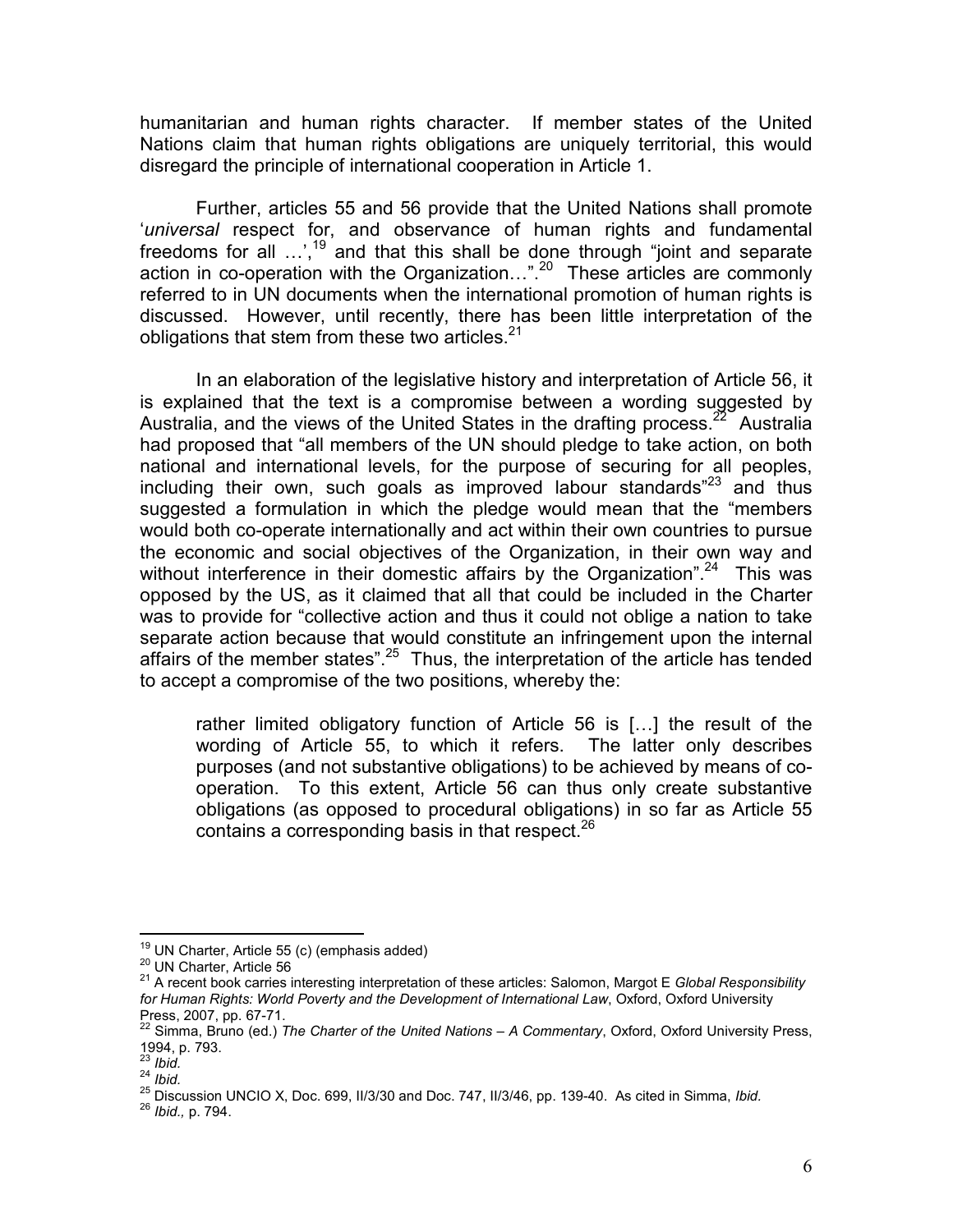humanitarian and human rights character. If member states of the United Nations claim that human rights obligations are uniquely territorial, this would disregard the principle of international cooperation in Article 1.

Further, articles 55 and 56 provide that the United Nations shall promote 'universal respect for, and observance of human rights and fundamental freedoms for all  $\ldots$ <sup>19</sup> and that this shall be done through "joint and separate action in co-operation with the Organization…".<sup>20</sup> These articles are commonly referred to in UN documents when the international promotion of human rights is discussed. However, until recently, there has been little interpretation of the obligations that stem from these two articles. $21$ 

In an elaboration of the legislative history and interpretation of Article 56, it is explained that the text is a compromise between a wording suggested by Australia, and the views of the United States in the drafting process.<sup>22</sup> Australia had proposed that "all members of the UN should pledge to take action, on both national and international levels, for the purpose of securing for all peoples, including their own, such goals as improved labour standards $^{23}$  and thus suggested a formulation in which the pledge would mean that the "members would both co-operate internationally and act within their own countries to pursue the economic and social objectives of the Organization, in their own way and without interference in their domestic affairs by the Organization".<sup>24</sup> This was opposed by the US, as it claimed that all that could be included in the Charter was to provide for "collective action and thus it could not oblige a nation to take separate action because that would constitute an infringement upon the internal affairs of the member states".<sup>25</sup> Thus, the interpretation of the article has tended to accept a compromise of the two positions, whereby the:

rather limited obligatory function of Article 56 is […] the result of the wording of Article 55, to which it refers. The latter only describes purposes (and not substantive obligations) to be achieved by means of cooperation. To this extent, Article 56 can thus only create substantive obligations (as opposed to procedural obligations) in so far as Article 55 contains a corresponding basis in that respect.<sup>26</sup>

 $25$  Discussion UNCIO X, Doc. 699, II/3/30 and Doc. 747, II/3/46, pp. 139-40. As cited in Simma, Ibid.

 $\overline{a}$  $\frac{19}{2}$  UN Charter, Article 55 (c) (emphasis added)

<sup>20</sup> UN Charter, Article 56

<sup>&</sup>lt;sup>21</sup> A recent book carries interesting interpretation of these articles: Salomon, Margot E Global Responsibility for Human Rights: World Poverty and the Development of International Law, Oxford, Oxford University Press, 2007, pp. 67-71.

 $^{22}$  Simma, Bruno (ed.) The Charter of the United Nations – A Commentary, Oxford, Oxford University Press, 1994, p. 793.<br><sup>23</sup> Ibid.

 $24$  Ibid.

 $26$  *Ibid., p.* 794.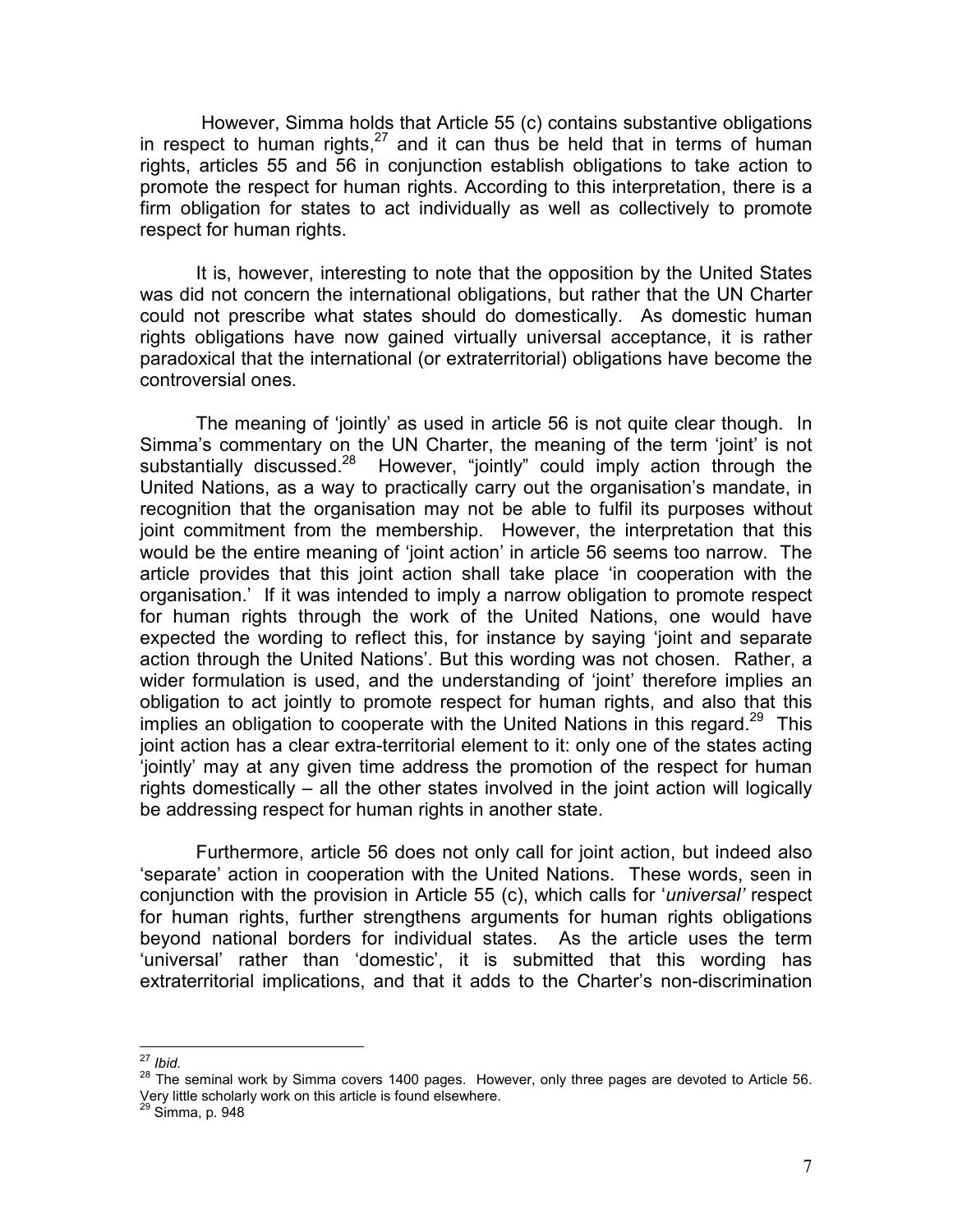However, Simma holds that Article 55 (c) contains substantive obligations in respect to human rights, $27$  and it can thus be held that in terms of human rights, articles 55 and 56 in conjunction establish obligations to take action to promote the respect for human rights. According to this interpretation, there is a firm obligation for states to act individually as well as collectively to promote respect for human rights.

It is, however, interesting to note that the opposition by the United States was did not concern the international obligations, but rather that the UN Charter could not prescribe what states should do domestically. As domestic human rights obligations have now gained virtually universal acceptance, it is rather paradoxical that the international (or extraterritorial) obligations have become the controversial ones.

The meaning of 'jointly' as used in article 56 is not quite clear though. In Simma's commentary on the UN Charter, the meaning of the term 'joint' is not substantially discussed.<sup>28</sup> However, "jointly" could imply action through the United Nations, as a way to practically carry out the organisation's mandate, in recognition that the organisation may not be able to fulfil its purposes without joint commitment from the membership. However, the interpretation that this would be the entire meaning of 'joint action' in article 56 seems too narrow. The article provides that this joint action shall take place 'in cooperation with the organisation.' If it was intended to imply a narrow obligation to promote respect for human rights through the work of the United Nations, one would have expected the wording to reflect this, for instance by saying 'joint and separate action through the United Nations'. But this wording was not chosen. Rather, a wider formulation is used, and the understanding of 'joint' therefore implies an obligation to act jointly to promote respect for human rights, and also that this implies an obligation to cooperate with the United Nations in this regard.<sup>29</sup> This joint action has a clear extra-territorial element to it: only one of the states acting 'jointly' may at any given time address the promotion of the respect for human rights domestically – all the other states involved in the joint action will logically be addressing respect for human rights in another state.

Furthermore, article 56 does not only call for joint action, but indeed also 'separate' action in cooperation with the United Nations. These words, seen in conjunction with the provision in Article 55 (c), which calls for 'universal' respect for human rights, further strengthens arguments for human rights obligations beyond national borders for individual states. As the article uses the term 'universal' rather than 'domestic', it is submitted that this wording has extraterritorial implications, and that it adds to the Charter's non-discrimination

 $\overline{1}$ 

 $\frac{27}{10}$  Ibid.

<sup>&</sup>lt;sup>28</sup> The seminal work by Simma covers 1400 pages. However, only three pages are devoted to Article 56. Very little scholarly work on this article is found elsewhere.

<sup>&</sup>lt;sup>29</sup> Simma, p. 948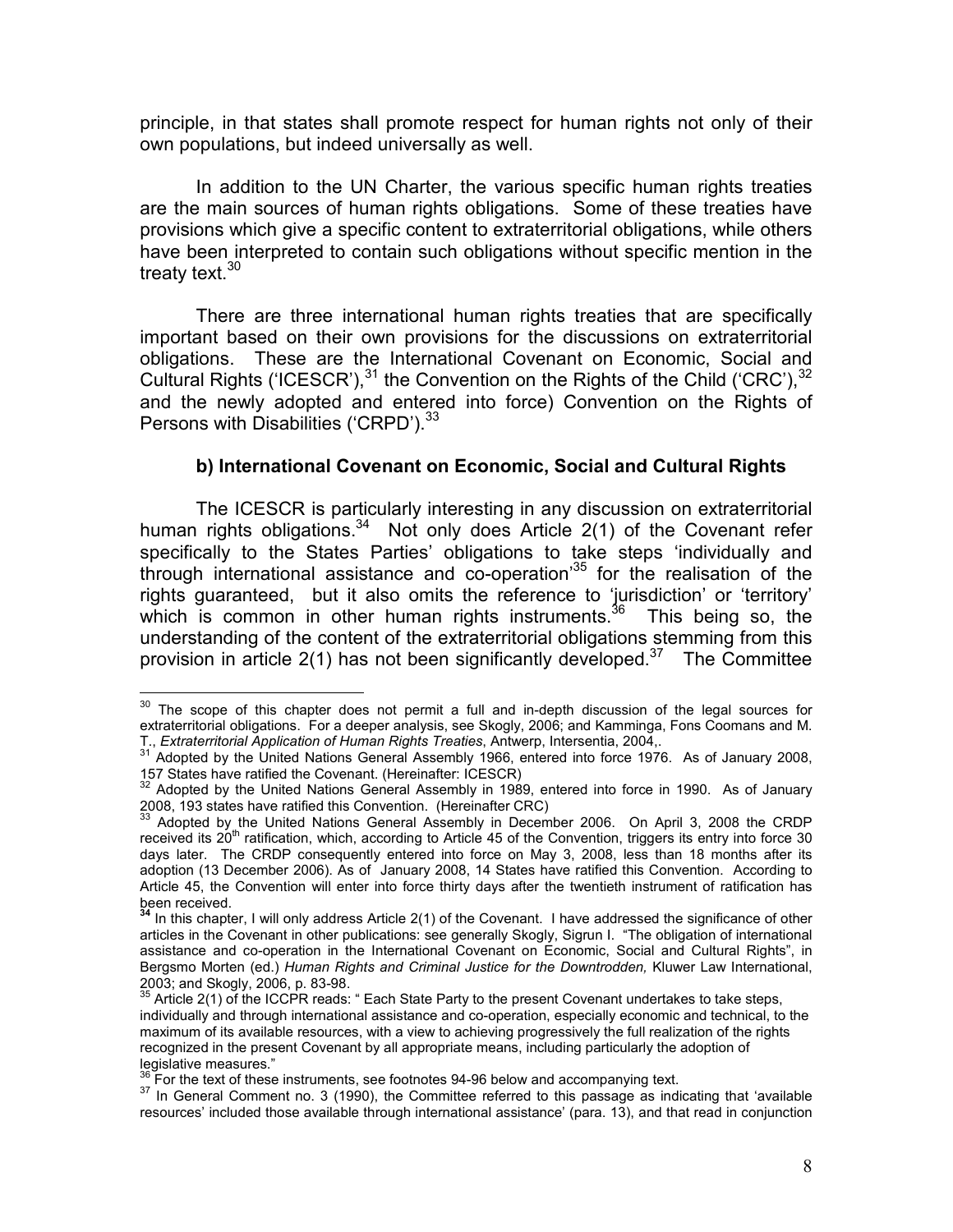principle, in that states shall promote respect for human rights not only of their own populations, but indeed universally as well.

In addition to the UN Charter, the various specific human rights treaties are the main sources of human rights obligations. Some of these treaties have provisions which give a specific content to extraterritorial obligations, while others have been interpreted to contain such obligations without specific mention in the treaty text.<sup>30</sup>

There are three international human rights treaties that are specifically important based on their own provisions for the discussions on extraterritorial obligations. These are the International Covenant on Economic, Social and Cultural Rights ('ICESCR'),  $31$  the Convention on the Rights of the Child ('CRC'),  $32$ and the newly adopted and entered into force) Convention on the Rights of Persons with Disabilities ('CRPD').  $33$ 

### b) International Covenant on Economic, Social and Cultural Rights

The ICESCR is particularly interesting in any discussion on extraterritorial human rights obligations.<sup>34</sup> Not only does Article 2(1) of the Covenant refer specifically to the States Parties' obligations to take steps 'individually and through international assistance and co-operation'<sup>35</sup> for the realisation of the rights guaranteed, but it also omits the reference to 'jurisdiction' or 'territory' which is common in other human rights instruments.<sup>36</sup> This being so, the understanding of the content of the extraterritorial obligations stemming from this provision in article  $2(1)$  has not been significantly developed.<sup>37</sup> The Committee

 $\overline{\phantom{a}}$  $30$  The scope of this chapter does not permit a full and in-depth discussion of the legal sources for extraterritorial obligations. For a deeper analysis, see Skogly, 2006; and Kamminga, Fons Coomans and M. T., Extraterritorial Application of Human Rights Treaties, Antwerp, Intersentia, 2004,.

<sup>31</sup> Adopted by the United Nations General Assembly 1966, entered into force 1976. As of January 2008, 157 States have ratified the Covenant. (Hereinafter: ICESCR)

 $32$  Adopted by the United Nations General Assembly in 1989, entered into force in 1990. As of January 2008, 193 states have ratified this Convention. (Hereinafter CRC)

<sup>&</sup>lt;sup>3</sup> Adopted by the United Nations General Assembly in December 2006. On April 3, 2008 the CRDP received its  $20<sup>th</sup>$  ratification, which, according to Article 45 of the Convention, triggers its entry into force 30 days later. The CRDP consequently entered into force on May 3, 2008, less than 18 months after its adoption (13 December 2006). As of January 2008, 14 States have ratified this Convention. According to Article 45, the Convention will enter into force thirty days after the twentieth instrument of ratification has been received.

In this chapter, I will only address Article 2(1) of the Covenant. I have addressed the significance of other articles in the Covenant in other publications: see generally Skogly, Sigrun I. "The obligation of international assistance and co-operation in the International Covenant on Economic, Social and Cultural Rights", in Bergsmo Morten (ed.) Human Rights and Criminal Justice for the Downtrodden, Kluwer Law International, 2003; and Skogly, 2006, p. 83-98.

 $35$  Article 2(1) of the ICCPR reads: " Each State Party to the present Covenant undertakes to take steps, individually and through international assistance and co-operation, especially economic and technical, to the maximum of its available resources, with a view to achieving progressively the full realization of the rights recognized in the present Covenant by all appropriate means, including particularly the adoption of legislative measures."

 $\delta$  For the text of these instruments, see footnotes 94-96 below and accompanying text.

<sup>&</sup>lt;sup>37</sup> In General Comment no. 3 (1990), the Committee referred to this passage as indicating that 'available resources' included those available through international assistance' (para. 13), and that read in conjunction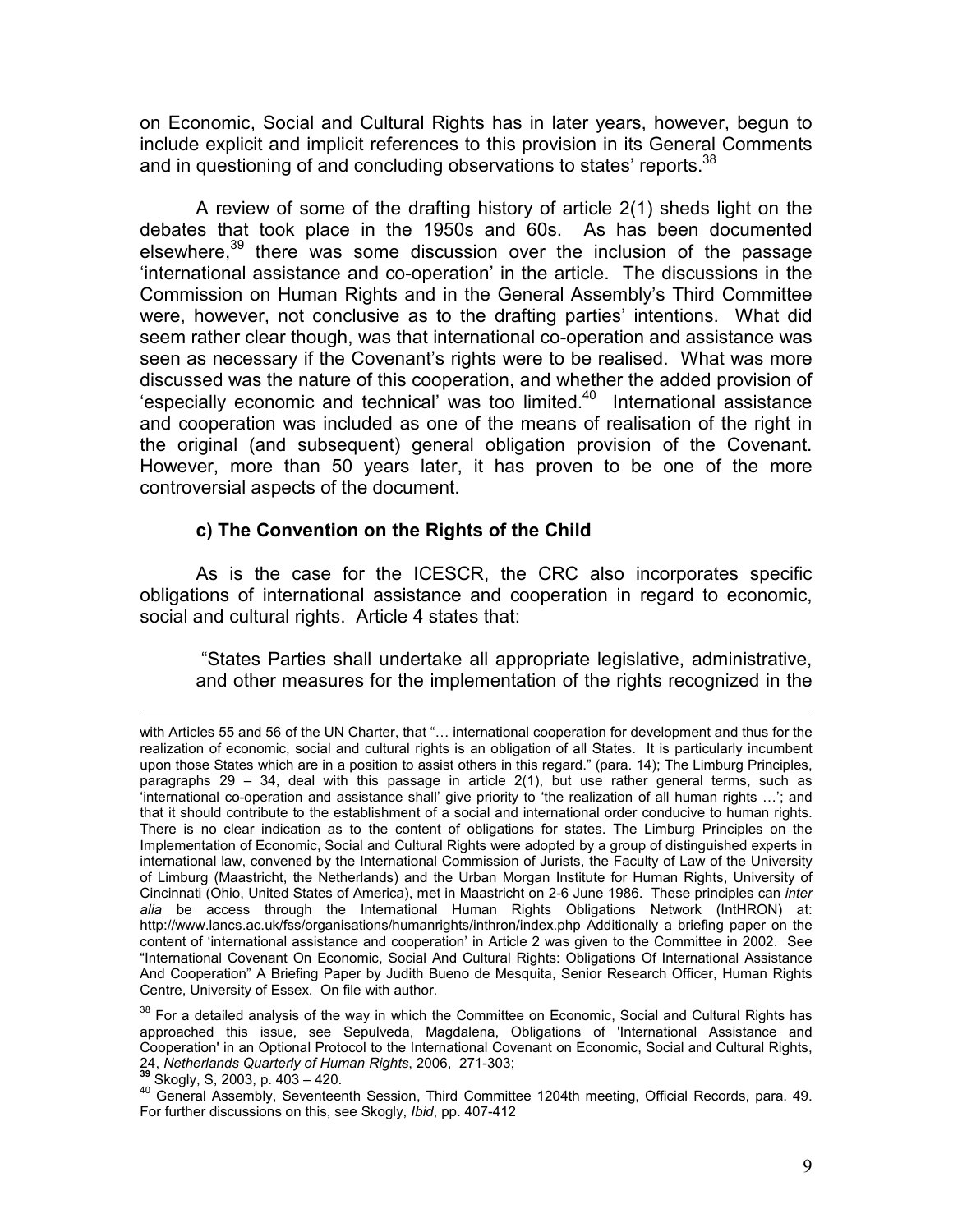on Economic, Social and Cultural Rights has in later years, however, begun to include explicit and implicit references to this provision in its General Comments and in questioning of and concluding observations to states' reports. $38$ 

 A review of some of the drafting history of article 2(1) sheds light on the debates that took place in the 1950s and 60s. As has been documented elsewhere, $39$  there was some discussion over the inclusion of the passage 'international assistance and co-operation' in the article. The discussions in the Commission on Human Rights and in the General Assembly's Third Committee were, however, not conclusive as to the drafting parties' intentions. What did seem rather clear though, was that international co-operation and assistance was seen as necessary if the Covenant's rights were to be realised. What was more discussed was the nature of this cooperation, and whether the added provision of 'especially economic and technical' was too limited. <sup>40</sup> International assistance and cooperation was included as one of the means of realisation of the right in the original (and subsequent) general obligation provision of the Covenant. However, more than 50 years later, it has proven to be one of the more controversial aspects of the document.

## c) The Convention on the Rights of the Child

As is the case for the ICESCR, the CRC also incorporates specific obligations of international assistance and cooperation in regard to economic, social and cultural rights. Article 4 states that:

 "States Parties shall undertake all appropriate legislative, administrative, and other measures for the implementation of the rights recognized in the

 $\overline{a}$ 

with Articles 55 and 56 of the UN Charter, that "… international cooperation for development and thus for the realization of economic, social and cultural rights is an obligation of all States. It is particularly incumbent upon those States which are in a position to assist others in this regard." (para. 14); The Limburg Principles, paragraphs 29 – 34, deal with this passage in article 2(1), but use rather general terms, such as 'international co-operation and assistance shall' give priority to 'the realization of all human rights …'; and that it should contribute to the establishment of a social and international order conducive to human rights. There is no clear indication as to the content of obligations for states. The Limburg Principles on the Implementation of Economic, Social and Cultural Rights were adopted by a group of distinguished experts in international law, convened by the International Commission of Jurists, the Faculty of Law of the University of Limburg (Maastricht, the Netherlands) and the Urban Morgan Institute for Human Rights, University of Cincinnati (Ohio, United States of America), met in Maastricht on 2-6 June 1986. These principles can inter alia be access through the International Human Rights Obligations Network (IntHRON) at: http://www.lancs.ac.uk/fss/organisations/humanrights/inthron/index.php Additionally a briefing paper on the content of 'international assistance and cooperation' in Article 2 was given to the Committee in 2002. See "International Covenant On Economic, Social And Cultural Rights: Obligations Of International Assistance And Cooperation" A Briefing Paper by Judith Bueno de Mesquita, Senior Research Officer, Human Rights Centre, University of Essex. On file with author.

<sup>&</sup>lt;sup>38</sup> For a detailed analysis of the way in which the Committee on Economic, Social and Cultural Rights has approached this issue, see Sepulveda, Magdalena, Obligations of 'International Assistance and Cooperation' in an Optional Protocol to the International Covenant on Economic, Social and Cultural Rights, 24, Netherlands Quarterly of Human Rights, 2006, 271-303;<br>39 Skogly, S, 2003, p. 403 – 420.

<sup>40</sup> General Assembly, Seventeenth Session, Third Committee 1204th meeting, Official Records, para. 49. For further discussions on this, see Skogly, Ibid, pp. 407-412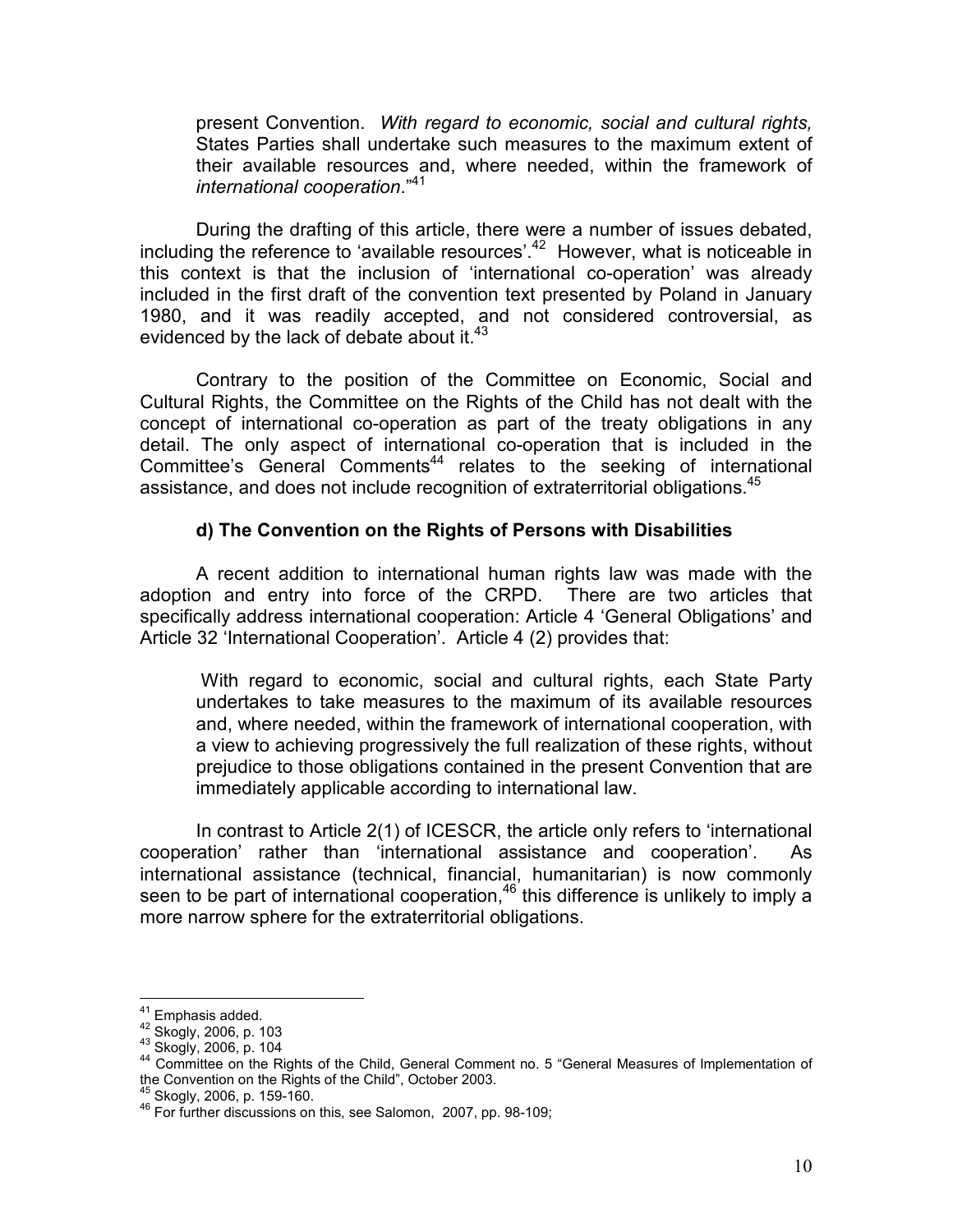present Convention. With regard to economic, social and cultural rights, States Parties shall undertake such measures to the maximum extent of their available resources and, where needed, within the framework of international cooperation."<sup>41</sup>

During the drafting of this article, there were a number of issues debated, including the reference to 'available resources'.<sup>42</sup> However, what is noticeable in this context is that the inclusion of 'international co-operation' was already included in the first draft of the convention text presented by Poland in January 1980, and it was readily accepted, and not considered controversial, as evidenced by the lack of debate about it. $43$ 

Contrary to the position of the Committee on Economic, Social and Cultural Rights, the Committee on the Rights of the Child has not dealt with the concept of international co-operation as part of the treaty obligations in any detail. The only aspect of international co-operation that is included in the Committee's General Comments<sup>44</sup> relates to the seeking of international assistance, and does not include recognition of extraterritorial obligations.<sup>45</sup>

### d) The Convention on the Rights of Persons with Disabilities

A recent addition to international human rights law was made with the adoption and entry into force of the CRPD. There are two articles that specifically address international cooperation: Article 4 'General Obligations' and Article 32 'International Cooperation'. Article 4 (2) provides that:

 With regard to economic, social and cultural rights, each State Party undertakes to take measures to the maximum of its available resources and, where needed, within the framework of international cooperation, with a view to achieving progressively the full realization of these rights, without prejudice to those obligations contained in the present Convention that are immediately applicable according to international law.

In contrast to Article 2(1) of ICESCR, the article only refers to 'international cooperation' rather than 'international assistance and cooperation'. As international assistance (technical, financial, humanitarian) is now commonly seen to be part of international cooperation, $46$  this difference is unlikely to imply a more narrow sphere for the extraterritorial obligations.

 $41$  Emphasis added.

 $^{42}$  Skogly, 2006, p. 103

<sup>43</sup> Skogly, 2006, p. 104

<sup>44</sup> Committee on the Rights of the Child, General Comment no. 5 "General Measures of Implementation of the Convention on the Rights of the Child", October 2003.

<sup>45</sup> Skogly, 2006, p. 159-160.

<sup>46</sup> For further discussions on this, see Salomon, 2007, pp. 98-109;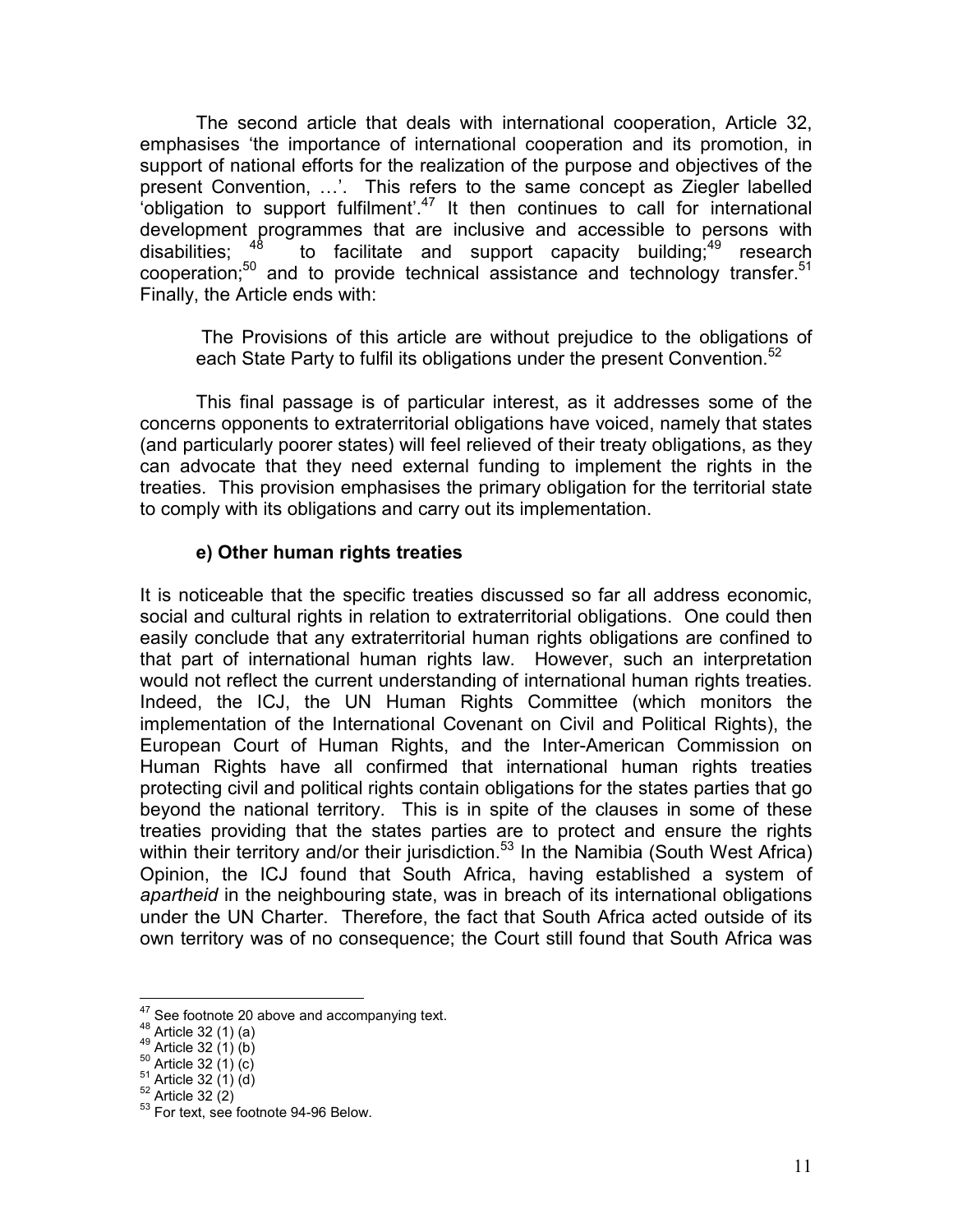The second article that deals with international cooperation, Article 32, emphasises 'the importance of international cooperation and its promotion, in support of national efforts for the realization of the purpose and objectives of the present Convention, …'. This refers to the same concept as Ziegler labelled  $\sim$  obligation to support fulfilment<sup>'47</sup> It then continues to call for international development programmes that are inclusive and accessible to persons with disabilities;  $48$  to facilitate and support capacity building;  $49$  research cooperation;<sup>50</sup> and to provide technical assistance and technology transfer.<sup>51</sup> Finally, the Article ends with:

 The Provisions of this article are without prejudice to the obligations of each State Party to fulfil its obligations under the present Convention.<sup>52</sup>

This final passage is of particular interest, as it addresses some of the concerns opponents to extraterritorial obligations have voiced, namely that states (and particularly poorer states) will feel relieved of their treaty obligations, as they can advocate that they need external funding to implement the rights in the treaties. This provision emphasises the primary obligation for the territorial state to comply with its obligations and carry out its implementation.

# e) Other human rights treaties

It is noticeable that the specific treaties discussed so far all address economic, social and cultural rights in relation to extraterritorial obligations. One could then easily conclude that any extraterritorial human rights obligations are confined to that part of international human rights law. However, such an interpretation would not reflect the current understanding of international human rights treaties. Indeed, the ICJ, the UN Human Rights Committee (which monitors the implementation of the International Covenant on Civil and Political Rights), the European Court of Human Rights, and the Inter-American Commission on Human Rights have all confirmed that international human rights treaties protecting civil and political rights contain obligations for the states parties that go beyond the national territory. This is in spite of the clauses in some of these treaties providing that the states parties are to protect and ensure the rights within their territory and/or their jurisdiction.<sup>53</sup> In the Namibia (South West Africa) Opinion, the ICJ found that South Africa, having established a system of apartheid in the neighbouring state, was in breach of its international obligations under the UN Charter. Therefore, the fact that South Africa acted outside of its own territory was of no consequence; the Court still found that South Africa was

 $47$  See footnote 20 above and accompanying text.

 $^{48}_{12}$  Article 32 (1) (a)

<sup>49</sup> Article 32 (1) (b)

<sup>50</sup> Article 32 (1) (c)

<sup>51</sup> Article 32 (1) (d)

 $52$  Article 32 (2)

<sup>53</sup> For text, see footnote 94-96 Below.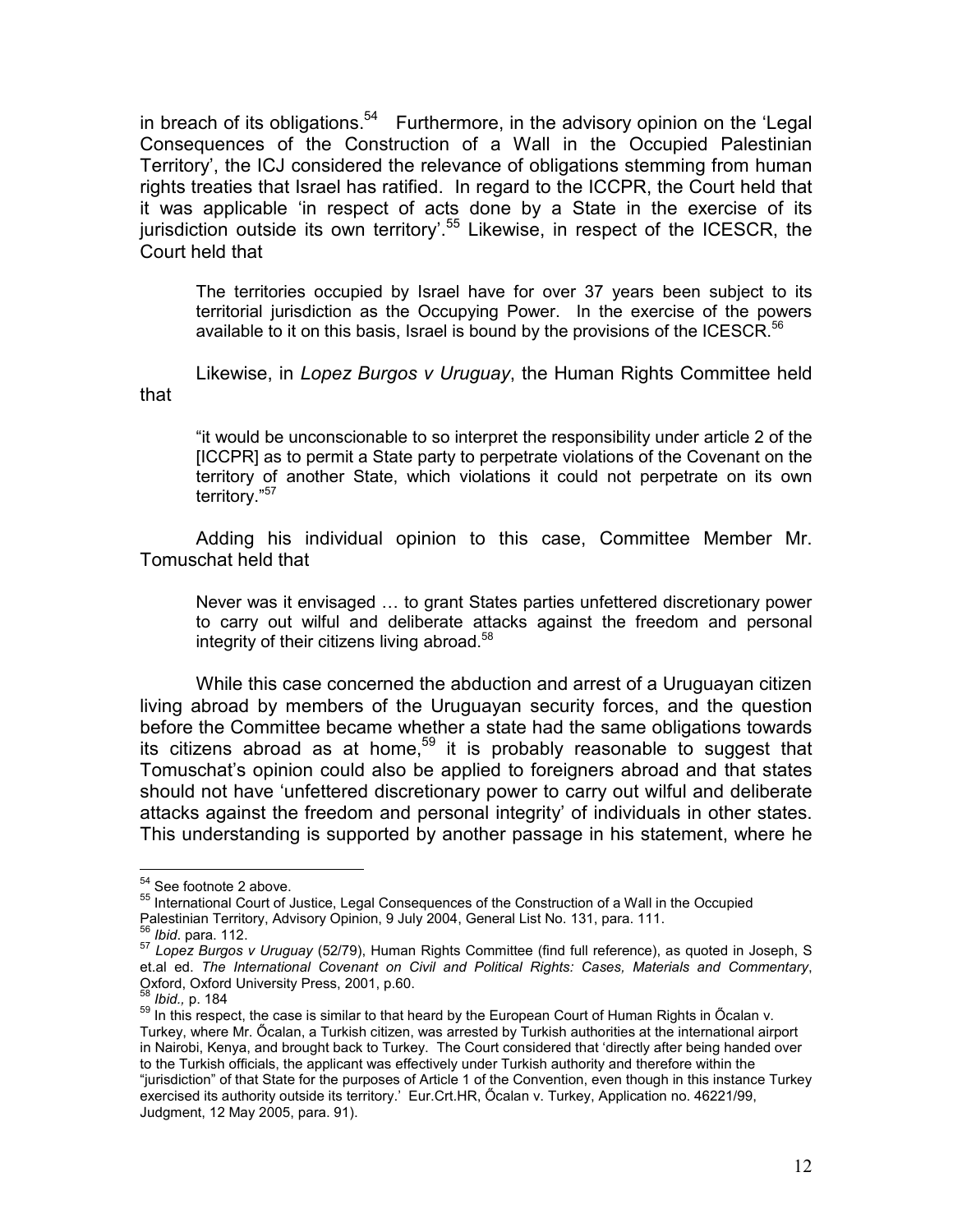in breach of its obligations.<sup>54</sup> Furthermore, in the advisory opinion on the 'Legal Consequences of the Construction of a Wall in the Occupied Palestinian Territory', the ICJ considered the relevance of obligations stemming from human rights treaties that Israel has ratified. In regard to the ICCPR, the Court held that it was applicable 'in respect of acts done by a State in the exercise of its jurisdiction outside its own territory'.<sup>55</sup> Likewise, in respect of the ICESCR, the Court held that

The territories occupied by Israel have for over 37 years been subject to its territorial jurisdiction as the Occupying Power. In the exercise of the powers available to it on this basis, Israel is bound by the provisions of the ICESCR. $^{56}$ 

Likewise, in Lopez Burgos v Uruguay, the Human Rights Committee held that

"it would be unconscionable to so interpret the responsibility under article 2 of the [ICCPR] as to permit a State party to perpetrate violations of the Covenant on the territory of another State, which violations it could not perpetrate on its own territory."<sup>57</sup>

Adding his individual opinion to this case, Committee Member Mr. Tomuschat held that

Never was it envisaged … to grant States parties unfettered discretionary power to carry out wilful and deliberate attacks against the freedom and personal integrity of their citizens living abroad. $58$ 

While this case concerned the abduction and arrest of a Uruguayan citizen living abroad by members of the Uruguayan security forces, and the question before the Committee became whether a state had the same obligations towards its citizens abroad as at home,<sup>59</sup> it is probably reasonable to suggest that Tomuschat's opinion could also be applied to foreigners abroad and that states should not have 'unfettered discretionary power to carry out wilful and deliberate attacks against the freedom and personal integrity' of individuals in other states. This understanding is supported by another passage in his statement, where he

55 International Court of Justice, Legal Consequences of the Construction of a Wall in the Occupied Palestinian Territory, Advisory Opinion, 9 July 2004, General List No. 131, para. 111.

 $\overline{a}$  $54$  See footnote 2 above.

 $^3$  Ibid. para. 112.

<sup>57</sup> Lopez Burgos v Uruguay (52/79), Human Rights Committee (find full reference), as quoted in Joseph, S et.al ed. The International Covenant on Civil and Political Rights: Cases, Materials and Commentary, Oxford, Oxford University Press, 2001, p.60.

 $58$  Ibid., p. 184

<sup>&</sup>lt;sup>59</sup> In this respect, the case is similar to that heard by the European Court of Human Rights in Őcalan v. Turkey, where Mr. Őcalan, a Turkish citizen, was arrested by Turkish authorities at the international airport in Nairobi, Kenya, and brought back to Turkey. The Court considered that 'directly after being handed over to the Turkish officials, the applicant was effectively under Turkish authority and therefore within the "jurisdiction" of that State for the purposes of Article 1 of the Convention, even though in this instance Turkey exercised its authority outside its territory.' Eur.Crt.HR, Őcalan v. Turkey, Application no. 46221/99, Judgment, 12 May 2005, para. 91).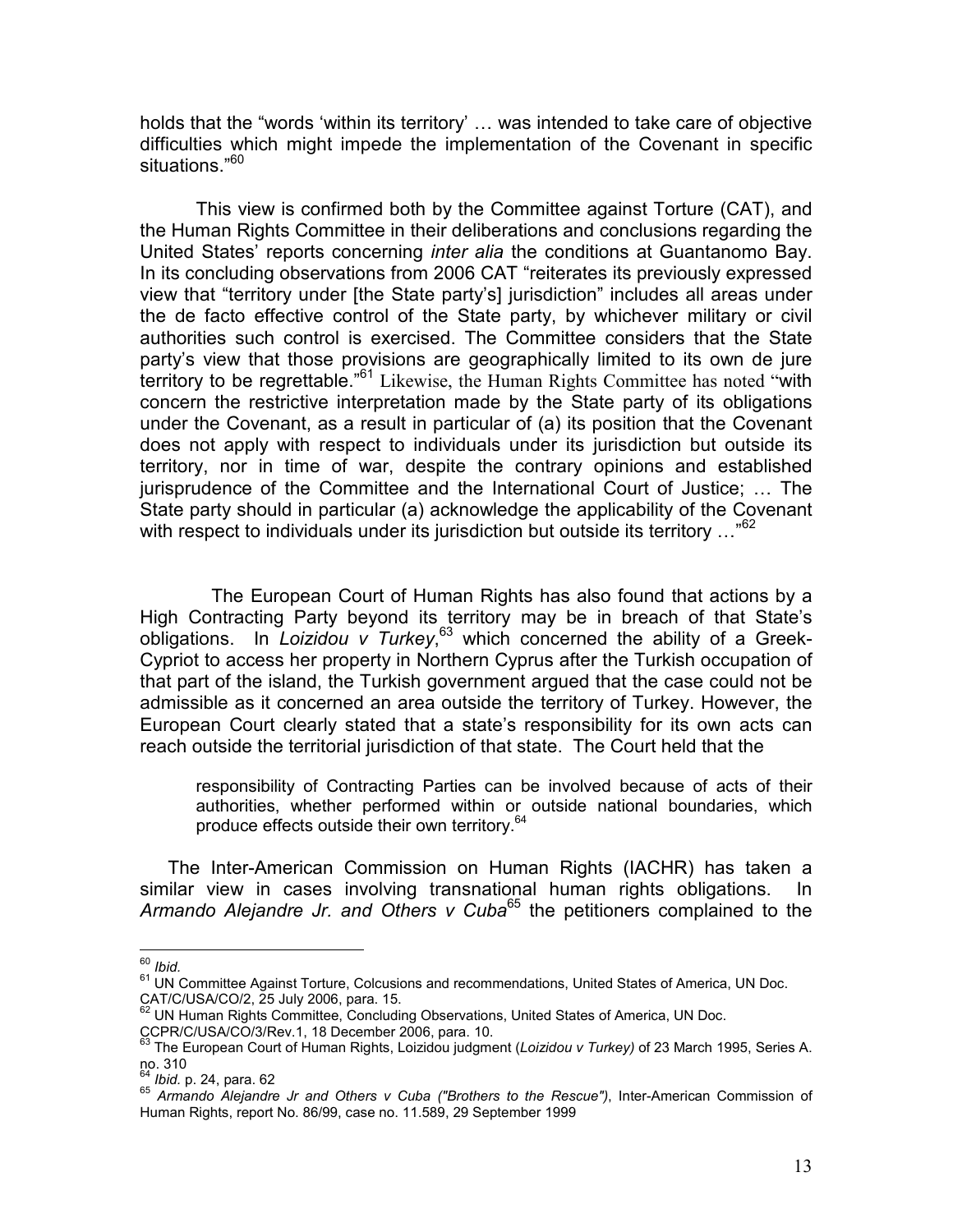holds that the "words 'within its territory' … was intended to take care of objective difficulties which might impede the implementation of the Covenant in specific situations."<sup>60</sup>

This view is confirmed both by the Committee against Torture (CAT), and the Human Rights Committee in their deliberations and conclusions regarding the United States' reports concerning *inter alia* the conditions at Guantanomo Bay. In its concluding observations from 2006 CAT "reiterates its previously expressed view that "territory under [the State party's] jurisdiction" includes all areas under the de facto effective control of the State party, by whichever military or civil authorities such control is exercised. The Committee considers that the State party's view that those provisions are geographically limited to its own de jure territory to be regrettable."<sup>61</sup> Likewise, the Human Rights Committee has noted "with concern the restrictive interpretation made by the State party of its obligations under the Covenant, as a result in particular of (a) its position that the Covenant does not apply with respect to individuals under its jurisdiction but outside its territory, nor in time of war, despite the contrary opinions and established jurisprudence of the Committee and the International Court of Justice; … The State party should in particular (a) acknowledge the applicability of the Covenant with respect to individuals under its jurisdiction but outside its territory ..."<sup>62</sup>

 The European Court of Human Rights has also found that actions by a High Contracting Party beyond its territory may be in breach of that State's obligations. In Loizidou v Turkey,<sup>63</sup> which concerned the ability of a Greek-Cypriot to access her property in Northern Cyprus after the Turkish occupation of that part of the island, the Turkish government argued that the case could not be admissible as it concerned an area outside the territory of Turkey. However, the European Court clearly stated that a state's responsibility for its own acts can reach outside the territorial jurisdiction of that state. The Court held that the

responsibility of Contracting Parties can be involved because of acts of their authorities, whether performed within or outside national boundaries, which produce effects outside their own territory.<sup>64</sup>

The Inter-American Commission on Human Rights (IACHR) has taken a similar view in cases involving transnational human rights obligations. In Armando Alejandre Jr. and Others v Cuba<sup>65</sup> the petitioners complained to the

 $\overline{1}$  $60$  Ibid.

<sup>61</sup> UN Committee Against Torture, Colcusions and recommendations, United States of America, UN Doc. CAT/C/USA/CO/2, 25 July 2006, para. 15.

UN Human Rights Committee, Concluding Observations, United States of America, UN Doc.

CCPR/C/USA/CO/3/Rev.1, 18 December 2006, para. 10.<br><sup>63</sup> The European Court of Human Rights, Loizidou judgment (*Loizidou v Turkey)* of 23 March 1995, Series A. no. 310

<sup>&</sup>lt;sup>64</sup> Ibid. p. 24, para. 62

 $65$  Armando Alejandre Jr and Others v Cuba ("Brothers to the Rescue"), Inter-American Commission of Human Rights, report No. 86/99, case no. 11.589, 29 September 1999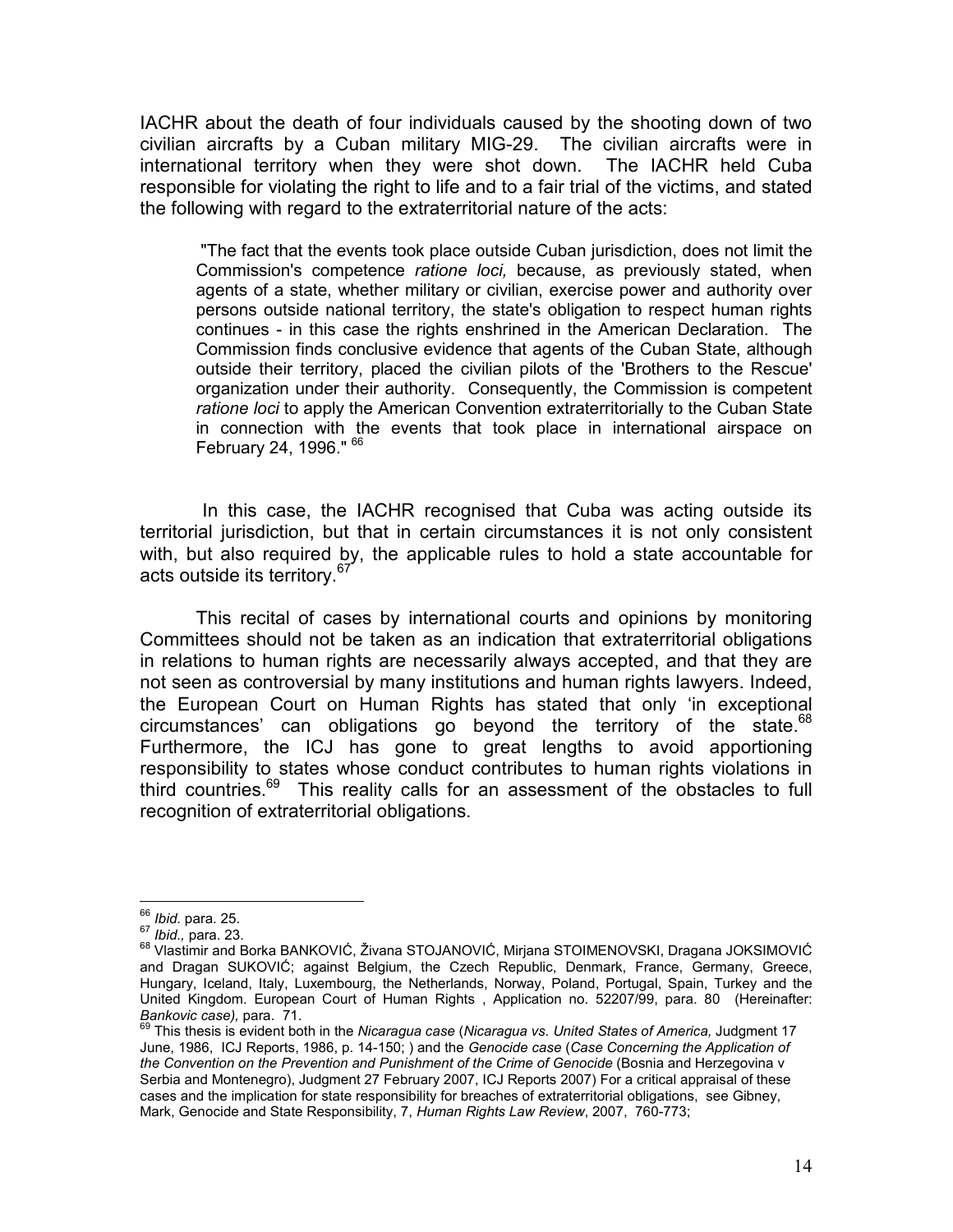IACHR about the death of four individuals caused by the shooting down of two civilian aircrafts by a Cuban military MIG-29. The civilian aircrafts were in international territory when they were shot down. The IACHR held Cuba responsible for violating the right to life and to a fair trial of the victims, and stated the following with regard to the extraterritorial nature of the acts:

 "The fact that the events took place outside Cuban jurisdiction, does not limit the Commission's competence *ratione loci*, because, as previously stated, when agents of a state, whether military or civilian, exercise power and authority over persons outside national territory, the state's obligation to respect human rights continues - in this case the rights enshrined in the American Declaration. The Commission finds conclusive evidence that agents of the Cuban State, although outside their territory, placed the civilian pilots of the 'Brothers to the Rescue' organization under their authority. Consequently, the Commission is competent ratione loci to apply the American Convention extraterritorially to the Cuban State in connection with the events that took place in international airspace on February 24, 1996." 66

 In this case, the IACHR recognised that Cuba was acting outside its territorial jurisdiction, but that in certain circumstances it is not only consistent with, but also required by, the applicable rules to hold a state accountable for acts outside its territory.<sup>67</sup>

This recital of cases by international courts and opinions by monitoring Committees should not be taken as an indication that extraterritorial obligations in relations to human rights are necessarily always accepted, and that they are not seen as controversial by many institutions and human rights lawyers. Indeed, the European Court on Human Rights has stated that only 'in exceptional circumstances' can obligations go beyond the territory of the state.<sup>68</sup> Furthermore, the ICJ has gone to great lengths to avoid apportioning responsibility to states whose conduct contributes to human rights violations in third countries.<sup>69</sup> This reality calls for an assessment of the obstacles to full recognition of extraterritorial obligations.

 $\overline{a}$ 

<sup>&</sup>lt;sup>66</sup> Ibid. para. 25.

 $67$  *Ibid.*, para. 23.

<sup>68</sup> Vlastimir and Borka BANKOVIĆ, Živana STOJANOVIĆ, Mirjana STOIMENOVSKI, Dragana JOKSIMOVIĆ and Dragan SUKOVIĆ; against Belgium, the Czech Republic, Denmark, France, Germany, Greece, Hungary, Iceland, Italy, Luxembourg, the Netherlands, Norway, Poland, Portugal, Spain, Turkey and the United Kingdom. European Court of Human Rights , Application no. 52207/99, para. 80 (Hereinafter: Bankovic case), para. 71.

<sup>69</sup> This thesis is evident both in the Nicaragua case (Nicaragua vs. United States of America, Judgment 17 June, 1986, ICJ Reports, 1986, p. 14-150; ) and the Genocide case (Case Concerning the Application of the Convention on the Prevention and Punishment of the Crime of Genocide (Bosnia and Herzegovina v Serbia and Montenegro), Judgment 27 February 2007, ICJ Reports 2007) For a critical appraisal of these cases and the implication for state responsibility for breaches of extraterritorial obligations, see Gibney, Mark, Genocide and State Responsibility, 7, Human Rights Law Review, 2007, 760-773;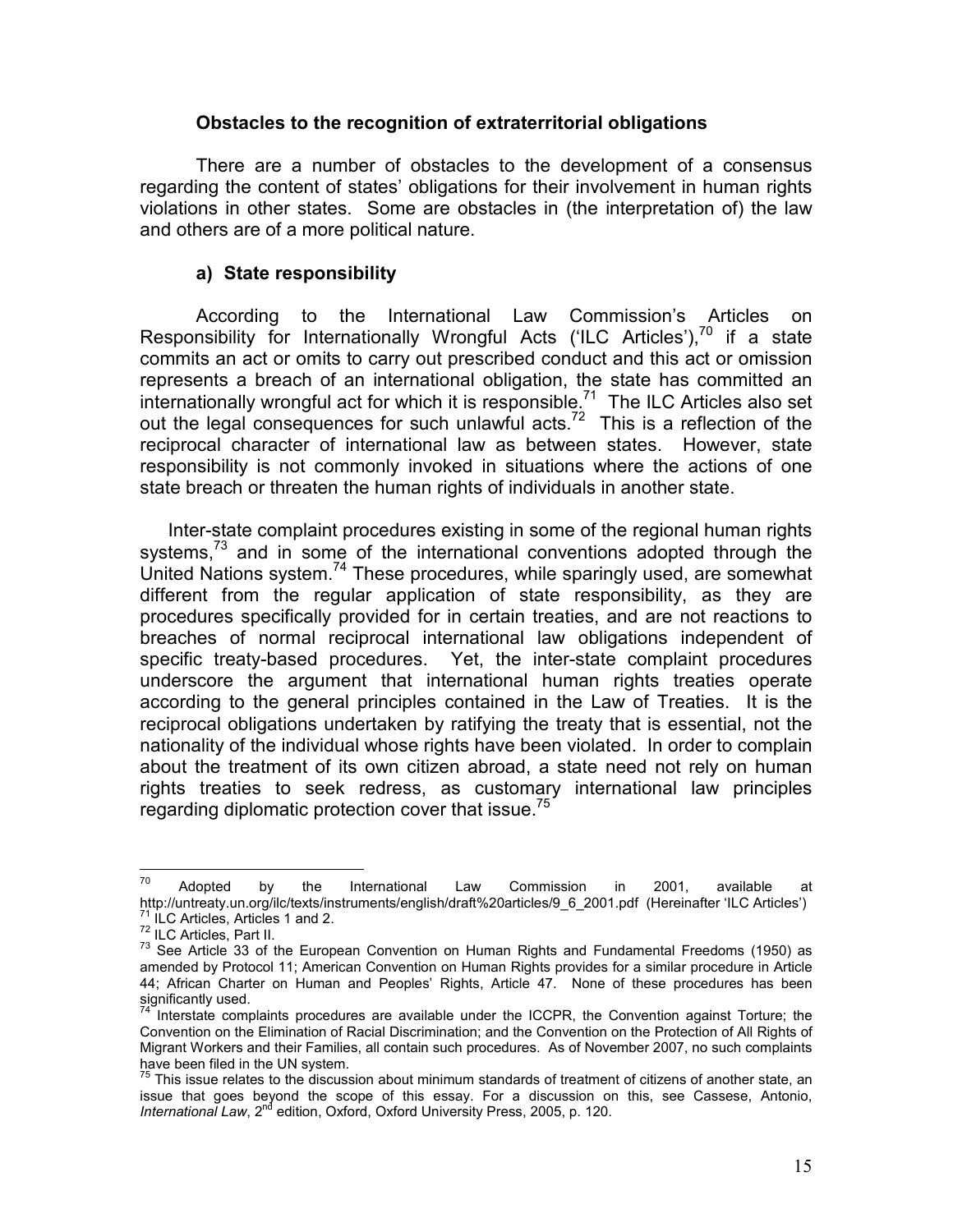#### Obstacles to the recognition of extraterritorial obligations

There are a number of obstacles to the development of a consensus regarding the content of states' obligations for their involvement in human rights violations in other states. Some are obstacles in (the interpretation of) the law and others are of a more political nature.

### a) State responsibility

According to the International Law Commission's Articles on Responsibility for Internationally Wrongful Acts ('ILC Articles'), $^{70}$  if a state commits an act or omits to carry out prescribed conduct and this act or omission represents a breach of an international obligation, the state has committed an internationally wrongful act for which it is responsible.<sup>71</sup> The ILC Articles also set out the legal consequences for such unlawful acts.<sup>72</sup> This is a reflection of the reciprocal character of international law as between states. However, state responsibility is not commonly invoked in situations where the actions of one state breach or threaten the human rights of individuals in another state.

Inter-state complaint procedures existing in some of the regional human rights systems,<sup>73</sup> and in some of the international conventions adopted through the United Nations system.<sup>74</sup> These procedures, while sparingly used, are somewhat different from the regular application of state responsibility, as they are procedures specifically provided for in certain treaties, and are not reactions to breaches of normal reciprocal international law obligations independent of specific treaty-based procedures. Yet, the inter-state complaint procedures underscore the argument that international human rights treaties operate according to the general principles contained in the Law of Treaties. It is the reciprocal obligations undertaken by ratifying the treaty that is essential, not the nationality of the individual whose rights have been violated. In order to complain about the treatment of its own citizen abroad, a state need not rely on human rights treaties to seek redress, as customary international law principles regarding diplomatic protection cover that issue.<sup>75</sup>

 $70$  $70$  Adopted by the International Law Commission in 2001, available at http://untreaty.un.org/ilc/texts/instruments/english/draft%20articles/9\_6\_2001.pdf (Hereinafter 'ILC Articles') <sup>71</sup> ILC Articles, Articles 1 and 2.

<sup>72</sup> ILC Articles, Part II.

<sup>&</sup>lt;sup>73</sup> See Article 33 of the European Convention on Human Rights and Fundamental Freedoms (1950) as amended by Protocol 11; American Convention on Human Rights provides for a similar procedure in Article 44; African Charter on Human and Peoples' Rights, Article 47. None of these procedures has been significantly used.

Interstate complaints procedures are available under the ICCPR, the Convention against Torture; the Convention on the Elimination of Racial Discrimination; and the Convention on the Protection of All Rights of Migrant Workers and their Families, all contain such procedures. As of November 2007, no such complaints have been filed in the UN system.

 $75$  This issue relates to the discussion about minimum standards of treatment of citizens of another state, an issue that goes beyond the scope of this essay. For a discussion on this, see Cassese, Antonio, International Law,  $2^{nd}$  edition, Oxford, Oxford University Press, 2005, p. 120.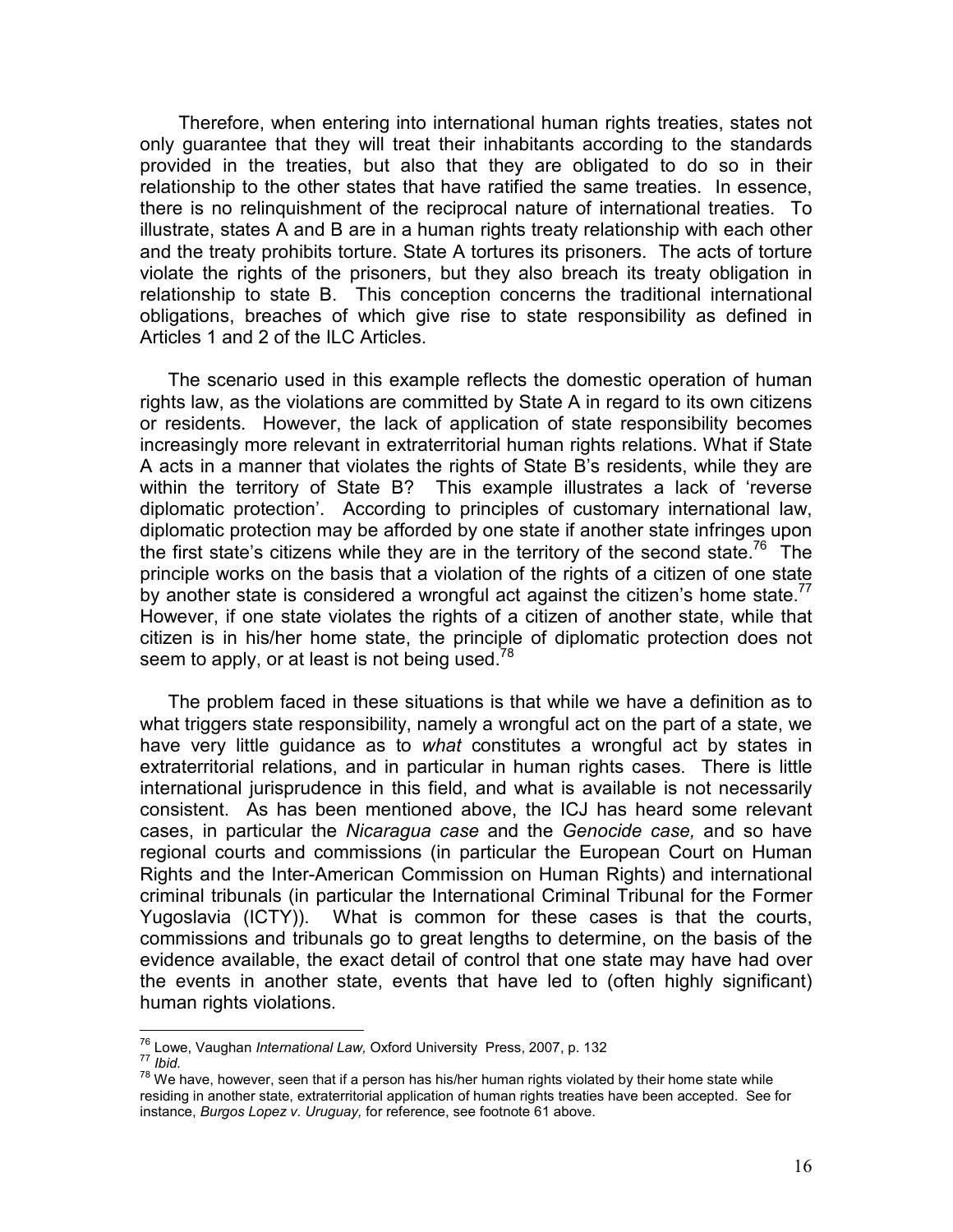Therefore, when entering into international human rights treaties, states not only guarantee that they will treat their inhabitants according to the standards provided in the treaties, but also that they are obligated to do so in their relationship to the other states that have ratified the same treaties. In essence, there is no relinquishment of the reciprocal nature of international treaties. To illustrate, states A and B are in a human rights treaty relationship with each other and the treaty prohibits torture. State A tortures its prisoners. The acts of torture violate the rights of the prisoners, but they also breach its treaty obligation in relationship to state B. This conception concerns the traditional international obligations, breaches of which give rise to state responsibility as defined in Articles 1 and 2 of the ILC Articles.

The scenario used in this example reflects the domestic operation of human rights law, as the violations are committed by State A in regard to its own citizens or residents. However, the lack of application of state responsibility becomes increasingly more relevant in extraterritorial human rights relations. What if State A acts in a manner that violates the rights of State B's residents, while they are within the territory of State B? This example illustrates a lack of 'reverse diplomatic protection'. According to principles of customary international law, diplomatic protection may be afforded by one state if another state infringes upon the first state's citizens while they are in the territory of the second state.<sup>76</sup> The principle works on the basis that a violation of the rights of a citizen of one state by another state is considered a wrongful act against the citizen's home state.<sup>77</sup> However, if one state violates the rights of a citizen of another state, while that citizen is in his/her home state, the principle of diplomatic protection does not seem to apply, or at least is not being used. $^{78}$ 

The problem faced in these situations is that while we have a definition as to what triggers state responsibility, namely a wrongful act on the part of a state, we have very little guidance as to what constitutes a wrongful act by states in extraterritorial relations, and in particular in human rights cases. There is little international jurisprudence in this field, and what is available is not necessarily consistent. As has been mentioned above, the ICJ has heard some relevant cases, in particular the Nicaragua case and the Genocide case, and so have regional courts and commissions (in particular the European Court on Human Rights and the Inter-American Commission on Human Rights) and international criminal tribunals (in particular the International Criminal Tribunal for the Former Yugoslavia (ICTY)). What is common for these cases is that the courts, commissions and tribunals go to great lengths to determine, on the basis of the evidence available, the exact detail of control that one state may have had over the events in another state, events that have led to (often highly significant) human rights violations.

 $\overline{a}$ 

 $\frac{76}{10}$  Lowe, Vaughan *International Law, Oxford University Press, 2007, p.* 132

 $77$  Ibid.

 $78$  We have, however, seen that if a person has his/her human rights violated by their home state while residing in another state, extraterritorial application of human rights treaties have been accepted. See for instance, Burgos Lopez v. Uruguay, for reference, see footnote 61 above.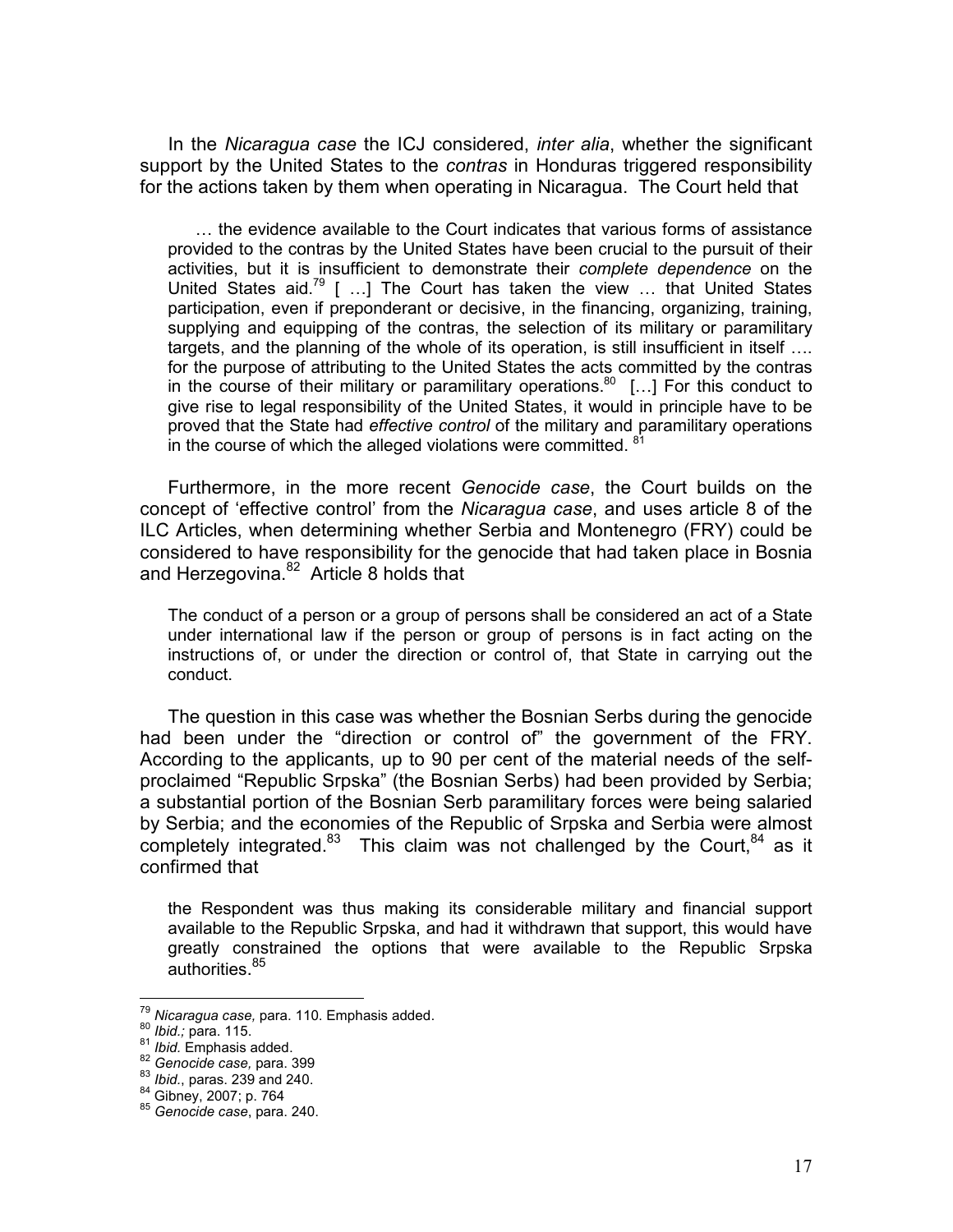In the Nicaragua case the ICJ considered, inter alia, whether the significant support by the United States to the *contras* in Honduras triggered responsibility for the actions taken by them when operating in Nicaragua. The Court held that

… the evidence available to the Court indicates that various forms of assistance provided to the contras by the United States have been crucial to the pursuit of their activities, but it is insufficient to demonstrate their complete dependence on the United States aid.<sup>79</sup> [ …] The Court has taken the view … that United States participation, even if preponderant or decisive, in the financing, organizing, training, supplying and equipping of the contras, the selection of its military or paramilitary targets, and the planning of the whole of its operation, is still insufficient in itself …. for the purpose of attributing to the United States the acts committed by the contras in the course of their military or paramilitary operations. $80$  [...] For this conduct to give rise to legal responsibility of the United States, it would in principle have to be proved that the State had effective control of the military and paramilitary operations in the course of which the alleged violations were committed.  $8<sup>1</sup>$ 

Furthermore, in the more recent Genocide case, the Court builds on the concept of 'effective control' from the Nicaragua case, and uses article 8 of the ILC Articles, when determining whether Serbia and Montenegro (FRY) could be considered to have responsibility for the genocide that had taken place in Bosnia and Herzegovina.<sup>82</sup> Article 8 holds that

The conduct of a person or a group of persons shall be considered an act of a State under international law if the person or group of persons is in fact acting on the instructions of, or under the direction or control of, that State in carrying out the conduct.

The question in this case was whether the Bosnian Serbs during the genocide had been under the "direction or control of" the government of the FRY. According to the applicants, up to 90 per cent of the material needs of the selfproclaimed "Republic Srpska" (the Bosnian Serbs) had been provided by Serbia; a substantial portion of the Bosnian Serb paramilitary forces were being salaried by Serbia; and the economies of the Republic of Srpska and Serbia were almost completely integrated. $83$  This claim was not challenged by the Court,  $84$  as it confirmed that

the Respondent was thus making its considerable military and financial support available to the Republic Srpska, and had it withdrawn that support, this would have greatly constrained the options that were available to the Republic Srpska authorities.<sup>85</sup>

 $\overline{a}$ 

 $\frac{79}{10}$  Nicaragua case, para. 110. Emphasis added.

 $80$  Ibid.; para. 115.

<sup>81</sup> Ibid. Emphasis added.

<sup>82</sup> Genocide case, para. 399

 $83$  Ibid., paras. 239 and 240.

<sup>84</sup> Gibney, 2007; p. 764

<sup>85</sup> Genocide case, para. 240.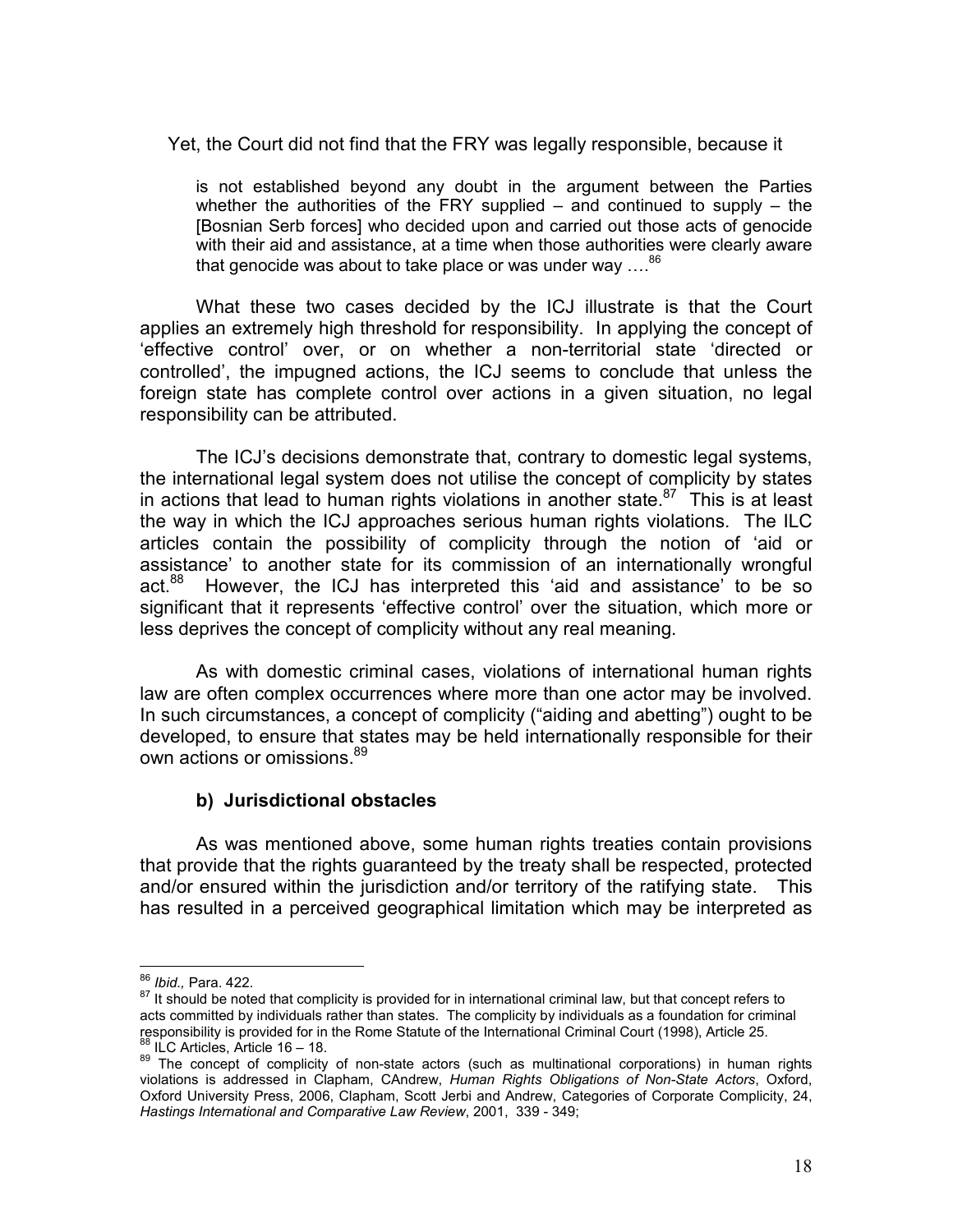Yet, the Court did not find that the FRY was legally responsible, because it

is not established beyond any doubt in the argument between the Parties whether the authorities of the FRY supplied  $-$  and continued to supply  $-$  the [Bosnian Serb forces] who decided upon and carried out those acts of genocide with their aid and assistance, at a time when those authorities were clearly aware that genocide was about to take place or was under way  $\ldots^{86}$ 

What these two cases decided by the ICJ illustrate is that the Court applies an extremely high threshold for responsibility. In applying the concept of 'effective control' over, or on whether a non-territorial state 'directed or controlled', the impugned actions, the ICJ seems to conclude that unless the foreign state has complete control over actions in a given situation, no legal responsibility can be attributed.

The ICJ's decisions demonstrate that, contrary to domestic legal systems, the international legal system does not utilise the concept of complicity by states in actions that lead to human rights violations in another state. $87$  This is at least the way in which the ICJ approaches serious human rights violations. The ILC articles contain the possibility of complicity through the notion of 'aid or assistance' to another state for its commission of an internationally wrongful act.<sup>88</sup> However, the ICJ has interpreted this 'aid and assistance' to be so significant that it represents 'effective control' over the situation, which more or less deprives the concept of complicity without any real meaning.

As with domestic criminal cases, violations of international human rights law are often complex occurrences where more than one actor may be involved. In such circumstances, a concept of complicity ("aiding and abetting") ought to be developed, to ensure that states may be held internationally responsible for their own actions or omissions.<sup>89</sup>

### b) Jurisdictional obstacles

As was mentioned above, some human rights treaties contain provisions that provide that the rights guaranteed by the treaty shall be respected, protected and/or ensured within the jurisdiction and/or territory of the ratifying state. This has resulted in a perceived geographical limitation which may be interpreted as

 $\overline{a}$  $_{.0}^{86}$  *Ibid.*, Para. 422.

 $87$  It should be noted that complicity is provided for in international criminal law, but that concept refers to acts committed by individuals rather than states. The complicity by individuals as a foundation for criminal responsibility is provided for in the Rome Statute of the International Criminal Court (1998), Article 25. 88 ILC Articles, Article 16 – 18.

<sup>89</sup> The concept of complicity of non-state actors (such as multinational corporations) in human rights violations is addressed in Clapham, CAndrew, Human Rights Obligations of Non-State Actors, Oxford, Oxford University Press, 2006, Clapham, Scott Jerbi and Andrew, Categories of Corporate Complicity, 24, Hastings International and Comparative Law Review, 2001, 339 - 349;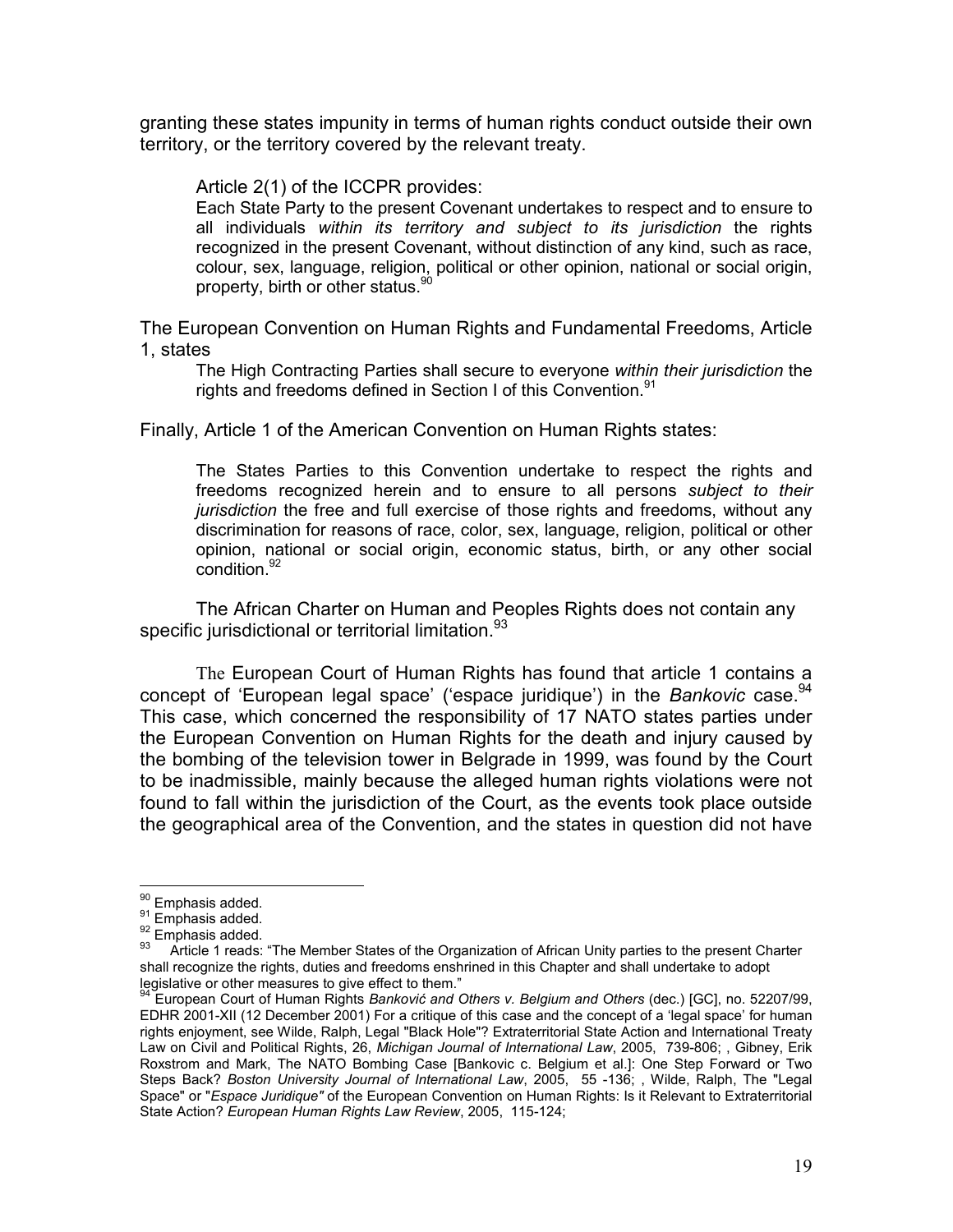granting these states impunity in terms of human rights conduct outside their own territory, or the territory covered by the relevant treaty.

Article 2(1) of the ICCPR provides:

Each State Party to the present Covenant undertakes to respect and to ensure to all individuals within its territory and subject to its jurisdiction the rights recognized in the present Covenant, without distinction of any kind, such as race, colour, sex, language, religion, political or other opinion, national or social origin, property, birth or other status.<sup>90</sup>

The European Convention on Human Rights and Fundamental Freedoms, Article 1, states

The High Contracting Parties shall secure to everyone within their jurisdiction the rights and freedoms defined in Section I of this Convention.<sup>91</sup>

Finally, Article 1 of the American Convention on Human Rights states:

The States Parties to this Convention undertake to respect the rights and freedoms recognized herein and to ensure to all persons subject to their jurisdiction the free and full exercise of those rights and freedoms, without any discrimination for reasons of race, color, sex, language, religion, political or other opinion, national or social origin, economic status, birth, or any other social condition.<sup>92</sup>

The African Charter on Human and Peoples Rights does not contain any specific jurisdictional or territorial limitation.<sup>93</sup>

The European Court of Human Rights has found that article 1 contains a concept of 'European legal space' ('espace juridique') in the Bankovic case.  $94$ This case, which concerned the responsibility of 17 NATO states parties under the European Convention on Human Rights for the death and injury caused by the bombing of the television tower in Belgrade in 1999, was found by the Court to be inadmissible, mainly because the alleged human rights violations were not found to fall within the jurisdiction of the Court, as the events took place outside the geographical area of the Convention, and the states in question did not have

<sup>&</sup>lt;sup>90</sup> Emphasis added.

<sup>91</sup> Emphasis added.

<sup>&</sup>lt;sup>92</sup> Emphasis added.

Article 1 reads: "The Member States of the Organization of African Unity parties to the present Charter shall recognize the rights, duties and freedoms enshrined in this Chapter and shall undertake to adopt legislative or other measures to give effect to them."<br><sup>94</sup> European Court of Human Rights *Banković and Others v. Belgium and Others* (dec.) [GC], no. 52207/99,

EDHR 2001-XII (12 December 2001) For a critique of this case and the concept of a 'legal space' for human rights enjoyment, see Wilde, Ralph, Legal "Black Hole"? Extraterritorial State Action and International Treaty Law on Civil and Political Rights, 26, Michigan Journal of International Law, 2005, 739-806; , Gibney, Erik Roxstrom and Mark, The NATO Bombing Case [Bankovic c. Belgium et al.]: One Step Forward or Two Steps Back? Boston University Journal of International Law, 2005, 55 -136; , Wilde, Ralph, The "Legal Space" or "Espace Juridique" of the European Convention on Human Rights: Is it Relevant to Extraterritorial State Action? European Human Rights Law Review, 2005, 115-124;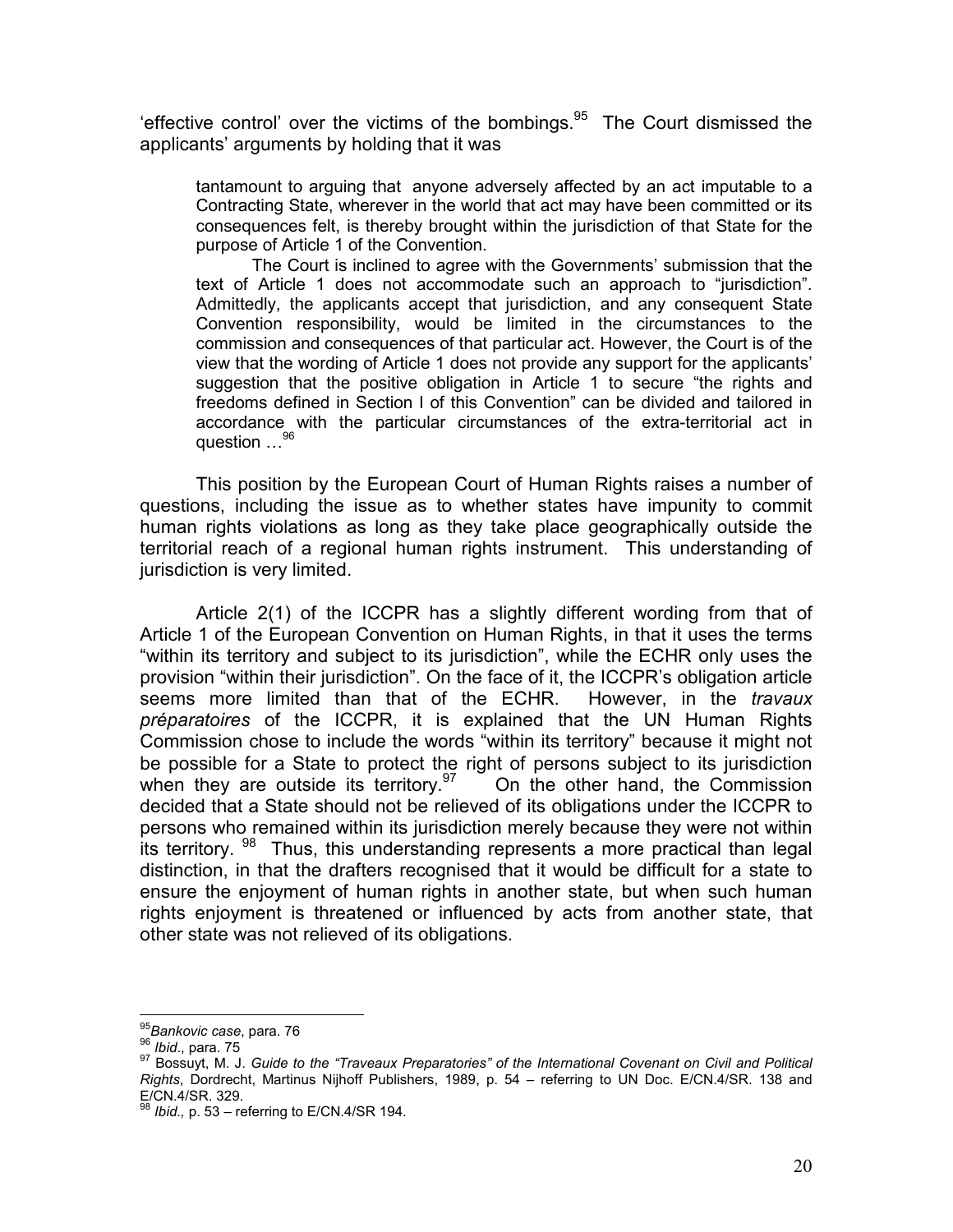'effective control' over the victims of the bombings. $95$  The Court dismissed the applicants' arguments by holding that it was

tantamount to arguing that anyone adversely affected by an act imputable to a Contracting State, wherever in the world that act may have been committed or its consequences felt, is thereby brought within the jurisdiction of that State for the purpose of Article 1 of the Convention.

The Court is inclined to agree with the Governments' submission that the text of Article 1 does not accommodate such an approach to "jurisdiction". Admittedly, the applicants accept that jurisdiction, and any consequent State Convention responsibility, would be limited in the circumstances to the commission and consequences of that particular act. However, the Court is of the view that the wording of Article 1 does not provide any support for the applicants' suggestion that the positive obligation in Article 1 to secure "the rights and freedoms defined in Section I of this Convention" can be divided and tailored in accordance with the particular circumstances of the extra-territorial act in question …<sup>96</sup>

This position by the European Court of Human Rights raises a number of questions, including the issue as to whether states have impunity to commit human rights violations as long as they take place geographically outside the territorial reach of a regional human rights instrument. This understanding of jurisdiction is very limited.

Article 2(1) of the ICCPR has a slightly different wording from that of Article 1 of the European Convention on Human Rights, in that it uses the terms "within its territory and subject to its jurisdiction", while the ECHR only uses the provision "within their jurisdiction". On the face of it, the ICCPR's obligation article seems more limited than that of the ECHR. However, in the travaux préparatoires of the ICCPR, it is explained that the UN Human Rights Commission chose to include the words "within its territory" because it might not be possible for a State to protect the right of persons subject to its jurisdiction when they are outside its territory. $97$  On the other hand, the Commission decided that a State should not be relieved of its obligations under the ICCPR to persons who remained within its jurisdiction merely because they were not within its territory. <sup>98</sup> Thus, this understanding represents a more practical than legal distinction, in that the drafters recognised that it would be difficult for a state to ensure the enjoyment of human rights in another state, but when such human rights enjoyment is threatened or influenced by acts from another state, that other state was not relieved of its obligations.

 $^{95}_{\sim}$ Bankovic case, para. 76

 $96$  Ibid., para. 75

<sup>97</sup> Bossuyt, M. J. Guide to the "Traveaux Preparatories" of the International Covenant on Civil and Political Rights, Dordrecht, Martinus Nijhoff Publishers, 1989, p. 54 – referring to UN Doc. E/CN.4/SR. 138 and E/CN.4/SR. 329.<br><sup>98</sup> *Ibid.,* p. 53 – referring to E/CN.4/SR 194.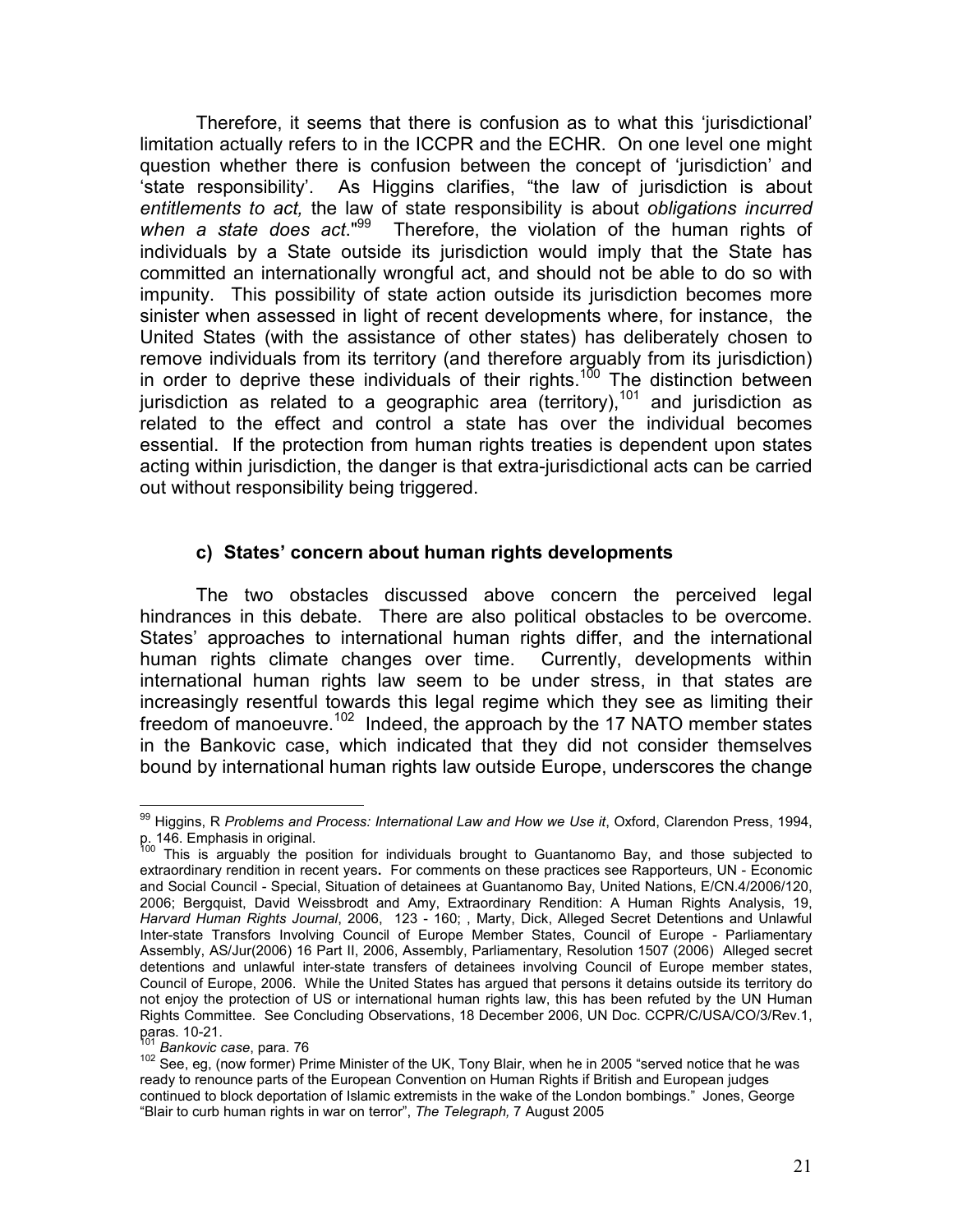Therefore, it seems that there is confusion as to what this 'jurisdictional' limitation actually refers to in the ICCPR and the ECHR. On one level one might question whether there is confusion between the concept of 'jurisdiction' and 'state responsibility'. As Higgins clarifies, "the law of jurisdiction is about entitlements to act, the law of state responsibility is about obligations incurred when a state does act."<sup>99</sup> Therefore, the violation of the human rights of individuals by a State outside its jurisdiction would imply that the State has committed an internationally wrongful act, and should not be able to do so with impunity. This possibility of state action outside its jurisdiction becomes more sinister when assessed in light of recent developments where, for instance, the United States (with the assistance of other states) has deliberately chosen to remove individuals from its territory (and therefore arguably from its jurisdiction) in order to deprive these individuals of their rights.<sup>100</sup> The distinction between jurisdiction as related to a geographic area (territory),<sup>101</sup> and jurisdiction as related to the effect and control a state has over the individual becomes essential. If the protection from human rights treaties is dependent upon states acting within jurisdiction, the danger is that extra-jurisdictional acts can be carried out without responsibility being triggered.

### c) States' concern about human rights developments

The two obstacles discussed above concern the perceived legal hindrances in this debate. There are also political obstacles to be overcome. States' approaches to international human rights differ, and the international human rights climate changes over time. Currently, developments within international human rights law seem to be under stress, in that states are increasingly resentful towards this legal regime which they see as limiting their freedom of manoeuvre.<sup>102</sup> Indeed, the approach by the 17 NATO member states in the Bankovic case, which indicated that they did not consider themselves bound by international human rights law outside Europe, underscores the change

<sup>&</sup>lt;sup>99</sup> Higgins, R Problems and Process: International Law and How we Use it, Oxford, Clarendon Press, 1994, p. 146. Emphasis in original.

<sup>&</sup>lt;sup>100</sup> This is arguably the position for individuals brought to Guantanomo Bay, and those subjected to extraordinary rendition in recent years. For comments on these practices see Rapporteurs, UN - Economic and Social Council - Special, Situation of detainees at Guantanomo Bay, United Nations, E/CN.4/2006/120, 2006; Bergquist, David Weissbrodt and Amy, Extraordinary Rendition: A Human Rights Analysis, 19, Harvard Human Rights Journal, 2006, 123 - 160; , Marty, Dick, Alleged Secret Detentions and Unlawful Inter-state Transfors Involving Council of Europe Member States, Council of Europe - Parliamentary Assembly, AS/Jur(2006) 16 Part II, 2006, Assembly, Parliamentary, Resolution 1507 (2006) Alleged secret detentions and unlawful inter-state transfers of detainees involving Council of Europe member states, Council of Europe, 2006. While the United States has argued that persons it detains outside its territory do not enjoy the protection of US or international human rights law, this has been refuted by the UN Human Rights Committee. See Concluding Observations, 18 December 2006, UN Doc. CCPR/C/USA/CO/3/Rev.1,

paras. 10-21.<br><sup>101</sup> *Bankovic case*, para. 76

<sup>102</sup> See, eg, (now former) Prime Minister of the UK, Tony Blair, when he in 2005 "served notice that he was ready to renounce parts of the European Convention on Human Rights if British and European judges continued to block deportation of Islamic extremists in the wake of the London bombings." Jones, George "Blair to curb human rights in war on terror", The Telegraph, 7 August 2005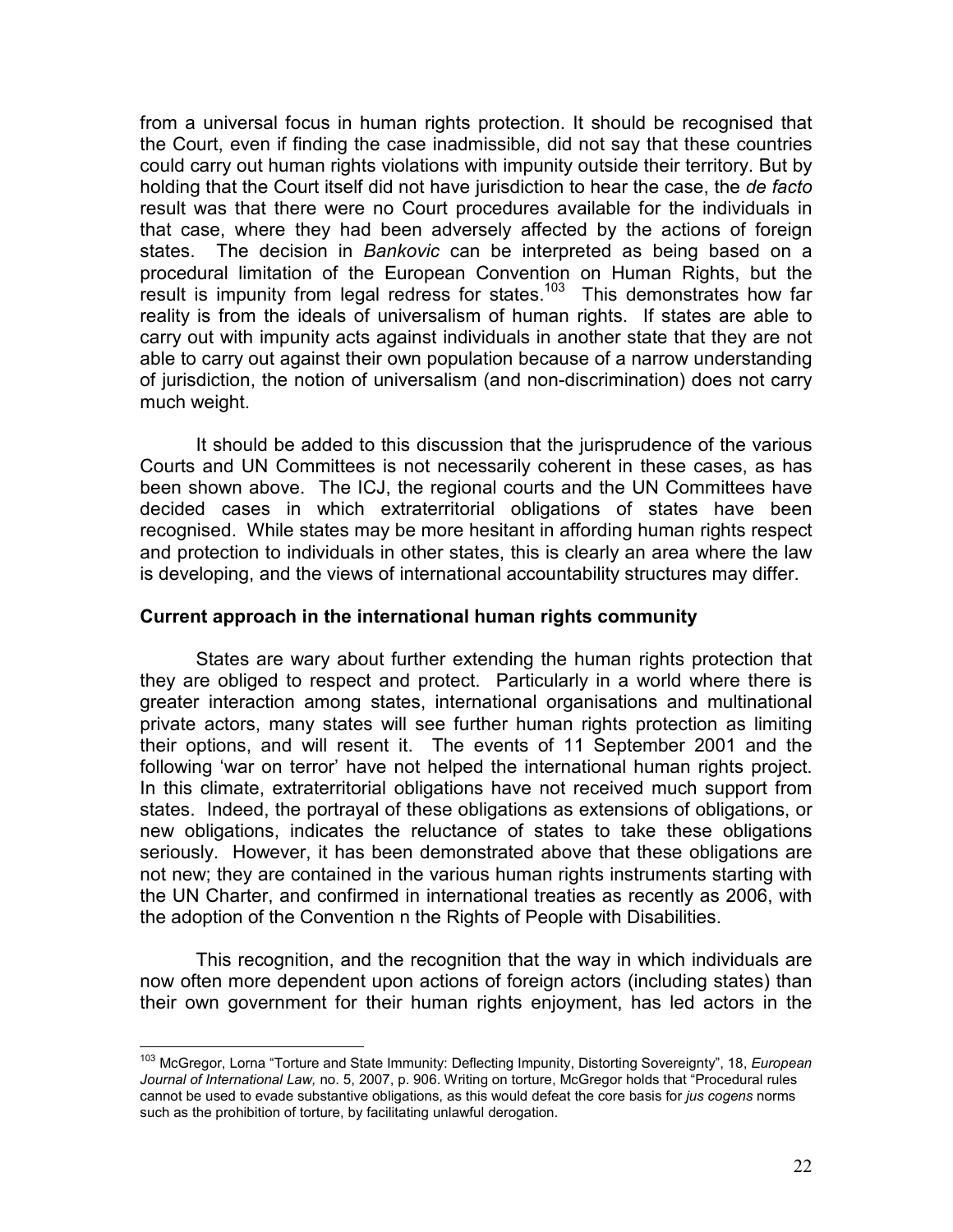from a universal focus in human rights protection. It should be recognised that the Court, even if finding the case inadmissible, did not say that these countries could carry out human rights violations with impunity outside their territory. But by holding that the Court itself did not have jurisdiction to hear the case, the de facto result was that there were no Court procedures available for the individuals in that case, where they had been adversely affected by the actions of foreign states. The decision in Bankovic can be interpreted as being based on a procedural limitation of the European Convention on Human Rights, but the result is impunity from legal redress for states.<sup>103</sup> This demonstrates how far reality is from the ideals of universalism of human rights. If states are able to carry out with impunity acts against individuals in another state that they are not able to carry out against their own population because of a narrow understanding of jurisdiction, the notion of universalism (and non-discrimination) does not carry much weight.

It should be added to this discussion that the jurisprudence of the various Courts and UN Committees is not necessarily coherent in these cases, as has been shown above. The ICJ, the regional courts and the UN Committees have decided cases in which extraterritorial obligations of states have been recognised. While states may be more hesitant in affording human rights respect and protection to individuals in other states, this is clearly an area where the law is developing, and the views of international accountability structures may differ.

### Current approach in the international human rights community

States are wary about further extending the human rights protection that they are obliged to respect and protect. Particularly in a world where there is greater interaction among states, international organisations and multinational private actors, many states will see further human rights protection as limiting their options, and will resent it. The events of 11 September 2001 and the following 'war on terror' have not helped the international human rights project. In this climate, extraterritorial obligations have not received much support from states. Indeed, the portrayal of these obligations as extensions of obligations, or new obligations, indicates the reluctance of states to take these obligations seriously. However, it has been demonstrated above that these obligations are not new; they are contained in the various human rights instruments starting with the UN Charter, and confirmed in international treaties as recently as 2006, with the adoption of the Convention n the Rights of People with Disabilities.

This recognition, and the recognition that the way in which individuals are now often more dependent upon actions of foreign actors (including states) than their own government for their human rights enjoyment, has led actors in the

<sup>&</sup>lt;sup>103</sup> McGregor, Lorna "Torture and State Immunity: Deflecting Impunity, Distorting Sovereignty", 18, European Journal of International Law, no. 5, 2007, p. 906. Writing on torture, McGregor holds that "Procedural rules cannot be used to evade substantive obligations, as this would defeat the core basis for jus cogens norms such as the prohibition of torture, by facilitating unlawful derogation.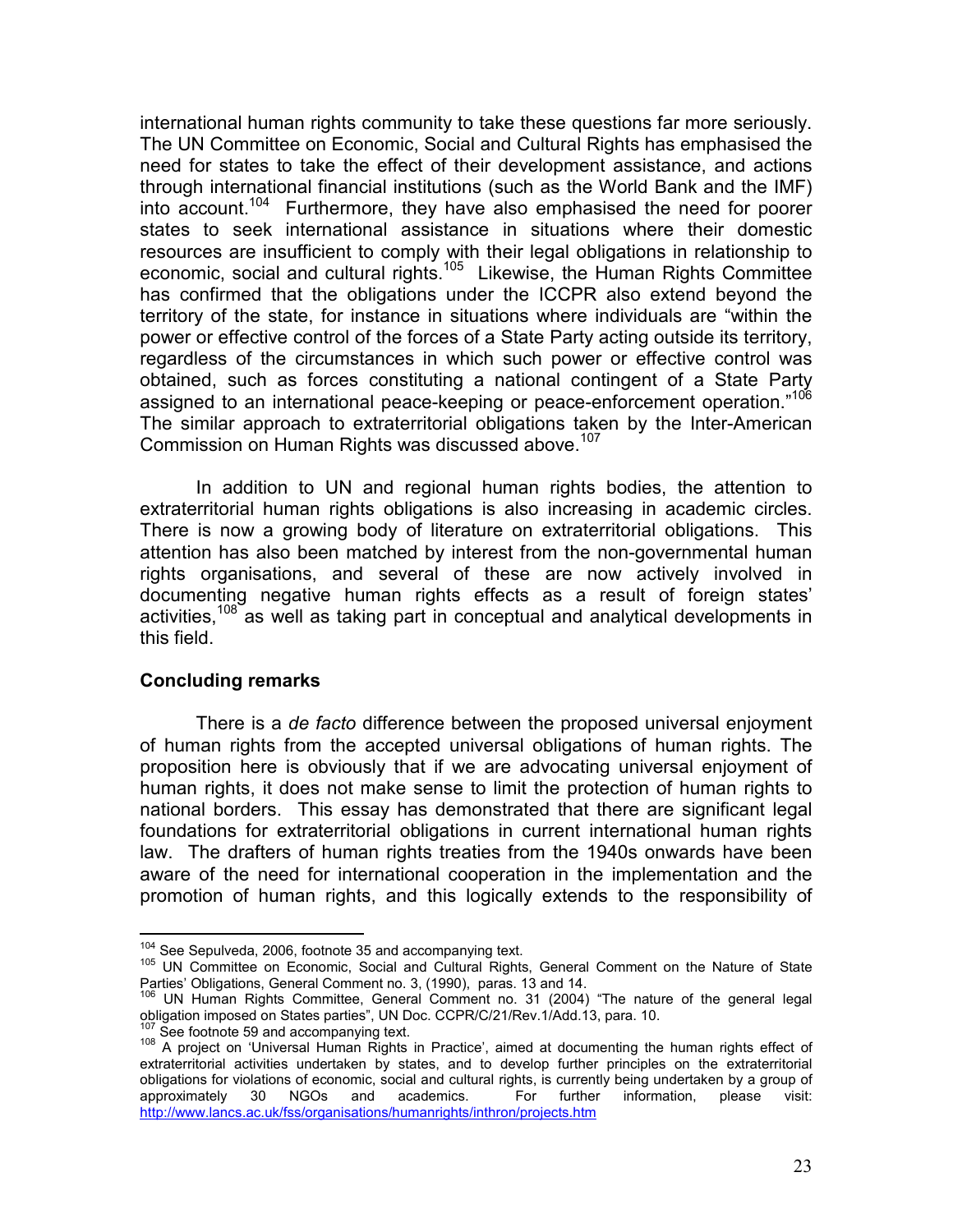international human rights community to take these questions far more seriously. The UN Committee on Economic, Social and Cultural Rights has emphasised the need for states to take the effect of their development assistance, and actions through international financial institutions (such as the World Bank and the IMF) into account.<sup>104</sup> Furthermore, they have also emphasised the need for poorer states to seek international assistance in situations where their domestic resources are insufficient to comply with their legal obligations in relationship to economic, social and cultural rights.<sup>105</sup> Likewise, the Human Rights Committee has confirmed that the obligations under the ICCPR also extend beyond the territory of the state, for instance in situations where individuals are "within the power or effective control of the forces of a State Party acting outside its territory, regardless of the circumstances in which such power or effective control was obtained, such as forces constituting a national contingent of a State Party assigned to an international peace-keeping or peace-enforcement operation."<sup>106</sup> The similar approach to extraterritorial obligations taken by the Inter-American Commission on Human Rights was discussed above.<sup>107</sup>

In addition to UN and regional human rights bodies, the attention to extraterritorial human rights obligations is also increasing in academic circles. There is now a growing body of literature on extraterritorial obligations. This attention has also been matched by interest from the non-governmental human rights organisations, and several of these are now actively involved in documenting negative human rights effects as a result of foreign states' activities,<sup>108</sup> as well as taking part in conceptual and analytical developments in this field.

### Concluding remarks

There is a de facto difference between the proposed universal enjoyment of human rights from the accepted universal obligations of human rights. The proposition here is obviously that if we are advocating universal enjoyment of human rights, it does not make sense to limit the protection of human rights to national borders. This essay has demonstrated that there are significant legal foundations for extraterritorial obligations in current international human rights law. The drafters of human rights treaties from the 1940s onwards have been aware of the need for international cooperation in the implementation and the promotion of human rights, and this logically extends to the responsibility of

 $\overline{a}$  $104$  See Sepulveda, 2006, footnote 35 and accompanying text.

<sup>105</sup> UN Committee on Economic, Social and Cultural Rights, General Comment on the Nature of State Parties' Obligations, General Comment no. 3, (1990), paras. 13 and 14.

<sup>&</sup>lt;sup>106</sup> UN Human Rights Committee, General Comment no. 31 (2004) "The nature of the general legal obligation imposed on States parties", UN Doc. CCPR/C/21/Rev.1/Add.13, para. 10. See footnote 59 and accompanying text.

<sup>108</sup> A project on 'Universal Human Rights in Practice', aimed at documenting the human rights effect of extraterritorial activities undertaken by states, and to develop further principles on the extraterritorial obligations for violations of economic, social and cultural rights, is currently being undertaken by a group of approximately 30 NGOs and academics. For further information, please visit: http://www.lancs.ac.uk/fss/organisations/humanrights/inthron/projects.htm